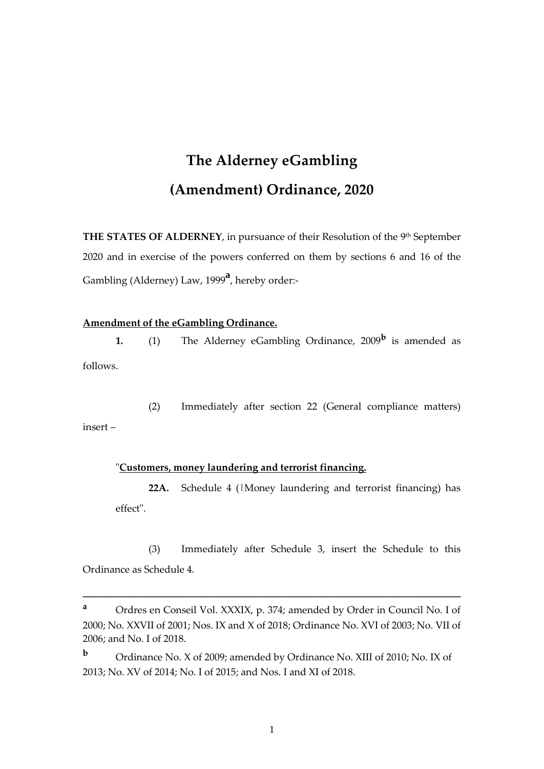# **The Alderney eGambling (Amendment) Ordinance, 2020**

**THE STATES OF ALDERNEY**, in pursuance of their Resolution of the 9<sup>th</sup> September 2020 and in exercise of the powers conferred on them by sections 6 and 16 of the Gambling (Alderney) Law, 1999**<sup>a</sup>** , hereby order:-

#### **Amendment of the eGambling Ordinance.**

**1.** (1) The Alderney eGambling Ordinance, 2009**<sup>b</sup>** is amended as follows.

(2) Immediately after section 22 (General compliance matters) insert –

#### "**Customers, money laundering and terrorist financing.**

**22A.** Schedule 4 (|Money laundering and terrorist financing) has effect".

(3) Immediately after Schedule 3, insert the Schedule to this Ordinance as Schedule 4.

**\_\_\_\_\_\_\_\_\_\_\_\_\_\_\_\_\_\_\_\_\_\_\_\_\_\_\_\_\_\_\_\_\_\_\_\_\_\_\_\_\_\_\_\_\_\_\_\_\_\_\_\_\_\_\_\_\_\_\_\_\_\_\_\_\_\_\_\_\_**

**<sup>b</sup>** Ordinance No. X of 2009; amended by Ordinance No. XIII of 2010; No. IX of 2013; No. XV of 2014; No. I of 2015; and Nos. I and XI of 2018.

1

**<sup>a</sup>** Ordres en Conseil Vol. XXXIX, p. 374; amended by Order in Council No. I of 2000; No. XXVII of 2001; Nos. IX and X of 2018; Ordinance No. XVI of 2003; No. VII of 2006; and No. I of 2018.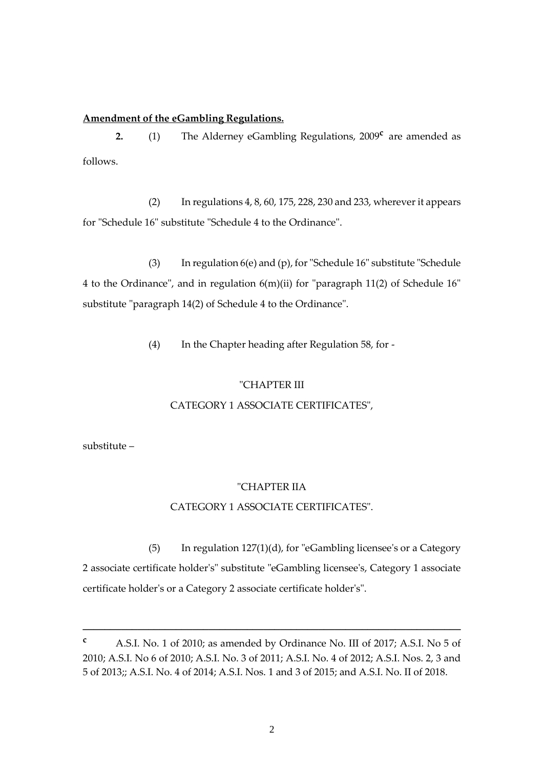#### **Amendment of the eGambling Regulations.**

**2.** (1) The Alderney eGambling Regulations, 2009<sup>c</sup> are amended as follows.

(2) In regulations 4, 8, 60, 175, 228, 230 and 233, wherever it appears for "Schedule 16" substitute "Schedule 4 to the Ordinance".

(3) In regulation 6(e) and (p), for "Schedule 16" substitute "Schedule 4 to the Ordinance", and in regulation 6(m)(ii) for "paragraph 11(2) of Schedule 16" substitute "paragraph 14(2) of Schedule 4 to the Ordinance".

(4) In the Chapter heading after Regulation 58, for -

# "CHAPTER III

#### CATEGORY 1 ASSOCIATE CERTIFICATES",

substitute –

# "CHAPTER IIA

#### CATEGORY 1 ASSOCIATE CERTIFICATES".

(5) In regulation 127(1)(d), for "eGambling licensee's or a Category 2 associate certificate holder's" substitute "eGambling licensee's, Category 1 associate certificate holder's or a Category 2 associate certificate holder's".

**\_\_\_\_\_\_\_\_\_\_\_\_\_\_\_\_\_\_\_\_\_\_\_\_\_\_\_\_\_\_\_\_\_\_\_\_\_\_\_\_\_\_\_\_\_\_\_\_\_\_\_\_\_\_\_\_\_\_\_\_\_\_\_\_\_\_\_\_\_**

**<sup>c</sup>** A.S.I. No. 1 of 2010; as amended by Ordinance No. III of 2017; A.S.I. No 5 of 2010; A.S.I. No 6 of 2010; A.S.I. No. 3 of 2011; A.S.I. No. 4 of 2012; A.S.I. Nos. 2, 3 and 5 of 2013;; A.S.I. No. 4 of 2014; A.S.I. Nos. 1 and 3 of 2015; and A.S.I. No. II of 2018.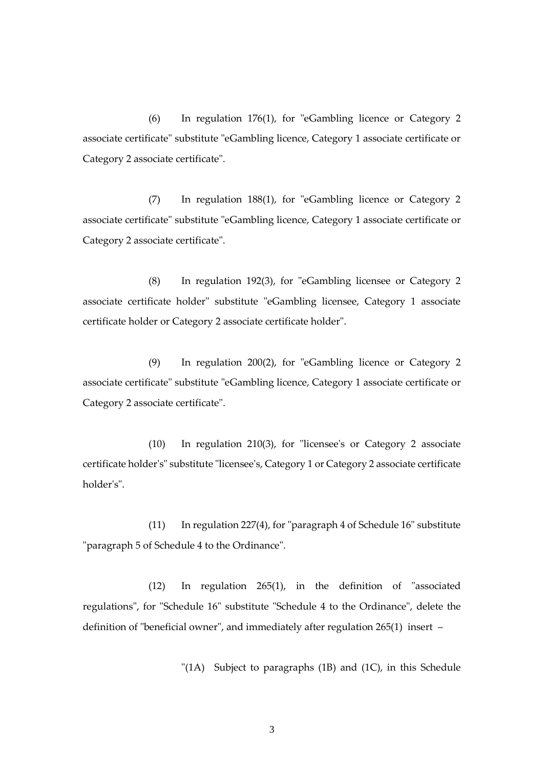(6) In regulation 176(1), for "eGambling licence or Category 2 associate certificate" substitute "eGambling licence, Category 1 associate certificate or Category 2 associate certificate".

(7) In regulation 188(1), for "eGambling licence or Category 2 associate certificate" substitute "eGambling licence, Category 1 associate certificate or Category 2 associate certificate".

(8) In regulation 192(3), for "eGambling licensee or Category 2 associate certificate holder" substitute "eGambling licensee, Category 1 associate certificate holder or Category 2 associate certificate holder".

(9) In regulation 200(2), for "eGambling licence or Category 2 associate certificate" substitute "eGambling licence, Category 1 associate certificate or Category 2 associate certificate".

(10) In regulation 210(3), for "licensee's or Category 2 associate certificate holder's" substitute "licensee's, Category 1 or Category 2 associate certificate holder's".

(11) In regulation 227(4), for "paragraph 4 of Schedule 16" substitute "paragraph 5 of Schedule 4 to the Ordinance".

(12) In regulation 265(1), in the definition of "associated regulations", for "Schedule 16" substitute "Schedule 4 to the Ordinance", delete the definition of "beneficial owner", and immediately after regulation 265(1) insert –

"(1A) Subject to paragraphs (1B) and (1C), in this Schedule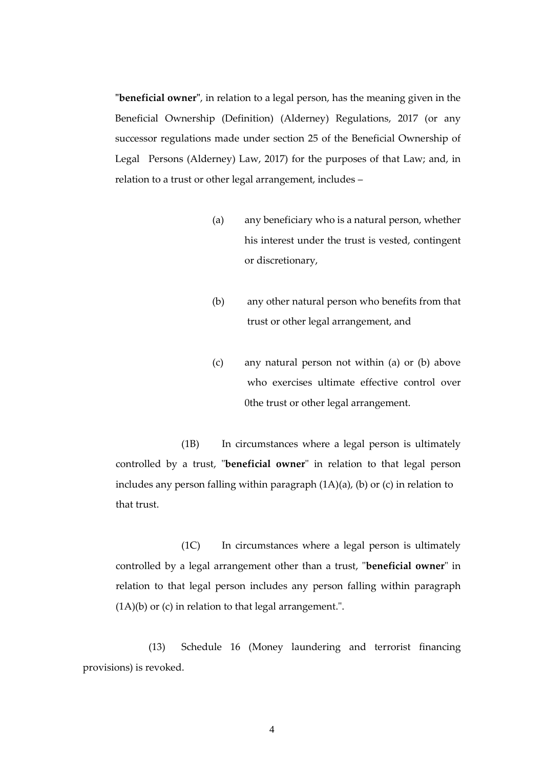**"beneficial owner"**, in relation to a legal person, has the meaning given in the Beneficial Ownership (Definition) (Alderney) Regulations, 2017 (or any successor regulations made under section 25 of the Beneficial Ownership of Legal Persons (Alderney) Law, 2017) for the purposes of that Law; and, in relation to a trust or other legal arrangement, includes –

- (a) any beneficiary who is a natural person, whether his interest under the trust is vested, contingent or discretionary,
- (b) any other natural person who benefits from that trust or other legal arrangement, and
- (c) any natural person not within (a) or (b) above who exercises ultimate effective control over 0the trust or other legal arrangement.

(1B) In circumstances where a legal person is ultimately controlled by a trust, "**beneficial owner**" in relation to that legal person includes any person falling within paragraph (1A)(a), (b) or (c) in relation to that trust.

(1C) In circumstances where a legal person is ultimately controlled by a legal arrangement other than a trust, "**beneficial owner**" in relation to that legal person includes any person falling within paragraph  $(1A)(b)$  or  $(c)$  in relation to that legal arrangement.".

(13) Schedule 16 (Money laundering and terrorist financing provisions) is revoked.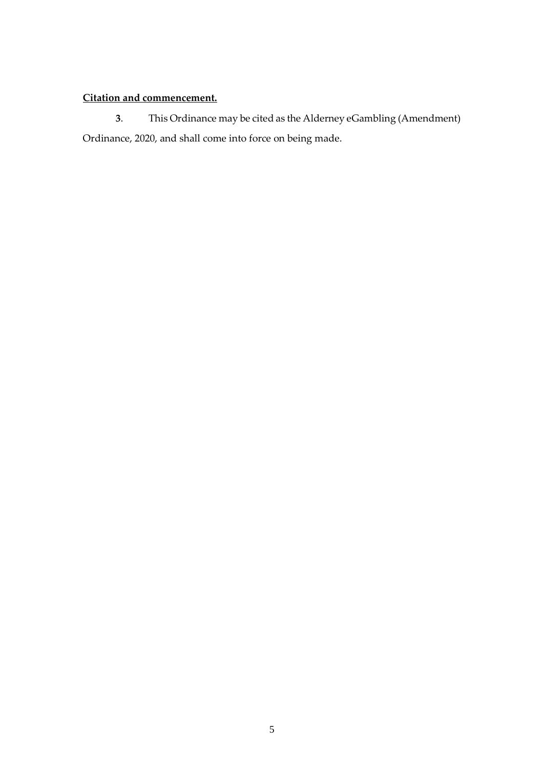# **Citation and commencement.**

**3**. This Ordinance may be cited as the Alderney eGambling (Amendment) Ordinance, 2020, and shall come into force on being made.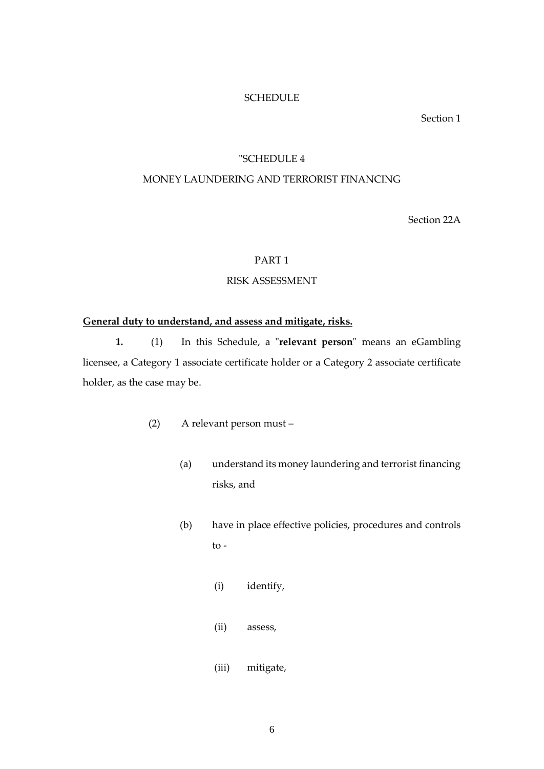#### **SCHEDULE**

Section 1

### "SCHEDULE 4

# MONEY LAUNDERING AND TERRORIST FINANCING

Section 22A

# PART 1

## RISK ASSESSMENT

# **General duty to understand, and assess and mitigate, risks.**

**1.** (1) In this Schedule, a "**relevant person**" means an eGambling licensee, a Category 1 associate certificate holder or a Category 2 associate certificate holder, as the case may be.

- (2) A relevant person must
	- (a) understand its money laundering and terrorist financing risks, and
	- (b) have in place effective policies, procedures and controls to -
		- (i) identify,
		- (ii) assess,
		- (iii) mitigate,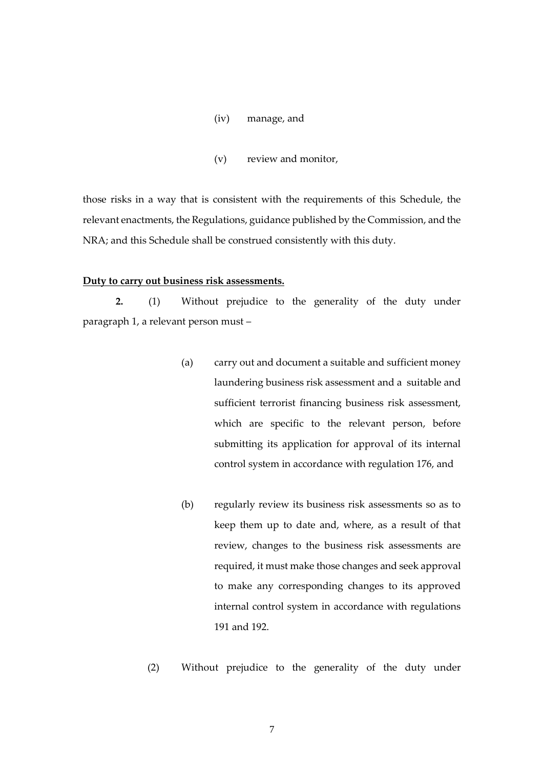- (iv) manage, and
- (v) review and monitor,

those risks in a way that is consistent with the requirements of this Schedule, the relevant enactments, the Regulations, guidance published by the Commission, and the NRA; and this Schedule shall be construed consistently with this duty.

#### **Duty to carry out business risk assessments.**

**2.** (1) Without prejudice to the generality of the duty under paragraph 1, a relevant person must –

- (a) carry out and document a suitable and sufficient money laundering business risk assessment and a suitable and sufficient terrorist financing business risk assessment, which are specific to the relevant person, before submitting its application for approval of its internal control system in accordance with regulation 176, and
- (b) regularly review its business risk assessments so as to keep them up to date and, where, as a result of that review, changes to the business risk assessments are required, it must make those changes and seek approval to make any corresponding changes to its approved internal control system in accordance with regulations 191 and 192.
- (2) Without prejudice to the generality of the duty under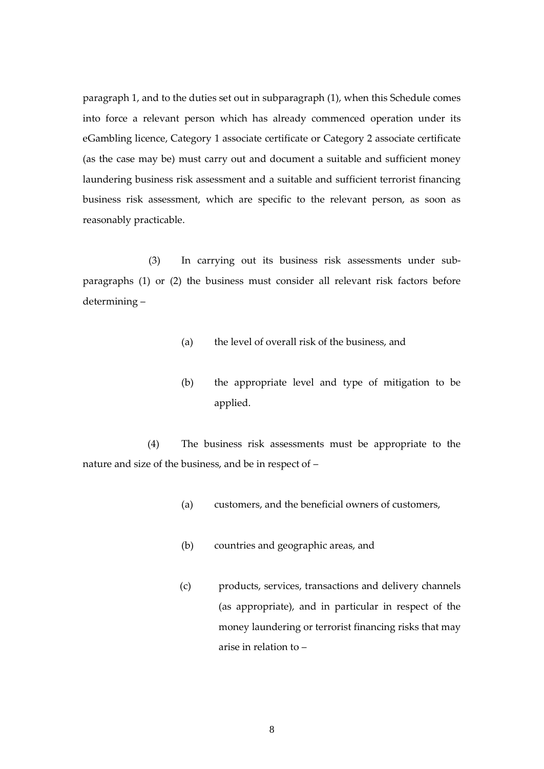paragraph 1, and to the duties set out in subparagraph (1), when this Schedule comes into force a relevant person which has already commenced operation under its eGambling licence, Category 1 associate certificate or Category 2 associate certificate (as the case may be) must carry out and document a suitable and sufficient money laundering business risk assessment and a suitable and sufficient terrorist financing business risk assessment, which are specific to the relevant person, as soon as reasonably practicable.

(3) In carrying out its business risk assessments under subparagraphs (1) or (2) the business must consider all relevant risk factors before determining –

- (a) the level of overall risk of the business, and
- (b) the appropriate level and type of mitigation to be applied.

(4) The business risk assessments must be appropriate to the nature and size of the business, and be in respect of –

- (a) customers, and the beneficial owners of customers,
- (b) countries and geographic areas, and
- (c) products, services, transactions and delivery channels (as appropriate), and in particular in respect of the money laundering or terrorist financing risks that may arise in relation to –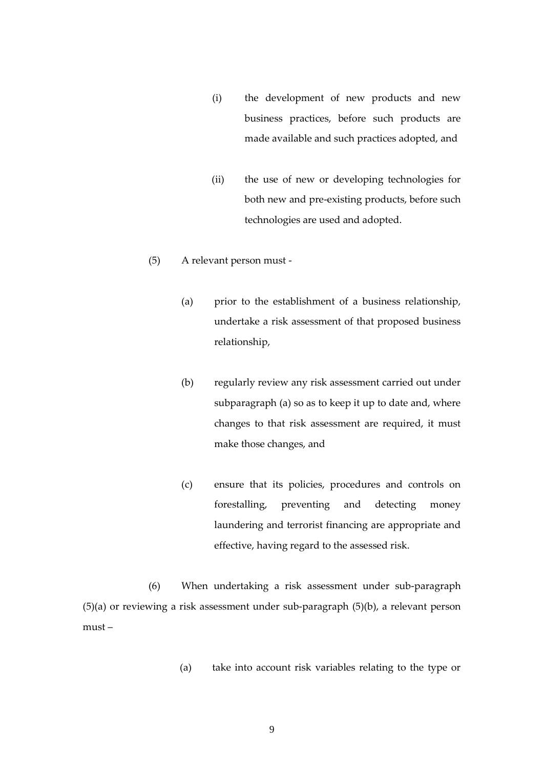- (i) the development of new products and new business practices, before such products are made available and such practices adopted, and
- (ii) the use of new or developing technologies for both new and pre-existing products, before such technologies are used and adopted.
- (5) A relevant person must
	- (a) prior to the establishment of a business relationship, undertake a risk assessment of that proposed business relationship,
	- (b) regularly review any risk assessment carried out under subparagraph (a) so as to keep it up to date and, where changes to that risk assessment are required, it must make those changes, and
	- (c) ensure that its policies, procedures and controls on forestalling, preventing and detecting money laundering and terrorist financing are appropriate and effective, having regard to the assessed risk.

(6) When undertaking a risk assessment under sub-paragraph (5)(a) or reviewing a risk assessment under sub-paragraph (5)(b), a relevant person must –

(a) take into account risk variables relating to the type or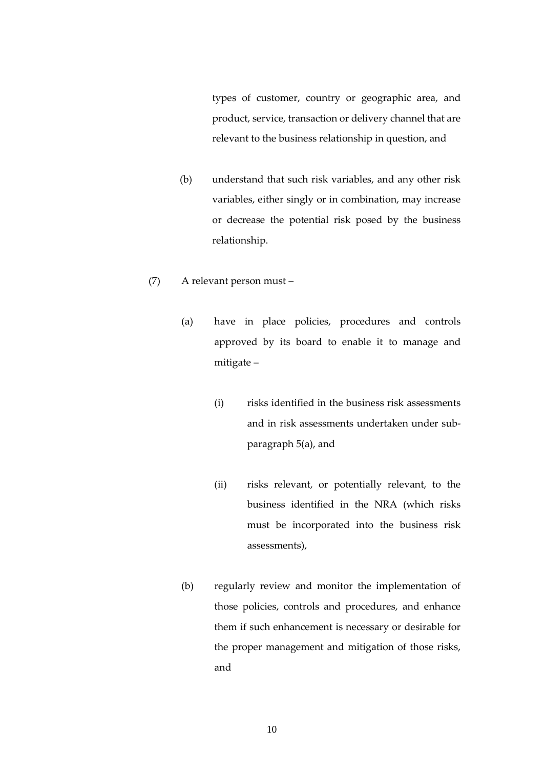types of customer, country or geographic area, and product, service, transaction or delivery channel that are relevant to the business relationship in question, and

(b) understand that such risk variables, and any other risk variables, either singly or in combination, may increase or decrease the potential risk posed by the business relationship.

# (7) A relevant person must –

- (a) have in place policies, procedures and controls approved by its board to enable it to manage and mitigate –
	- (i) risks identified in the business risk assessments and in risk assessments undertaken under subparagraph 5(a), and
	- (ii) risks relevant, or potentially relevant, to the business identified in the NRA (which risks must be incorporated into the business risk assessments),
- (b) regularly review and monitor the implementation of those policies, controls and procedures, and enhance them if such enhancement is necessary or desirable for the proper management and mitigation of those risks, and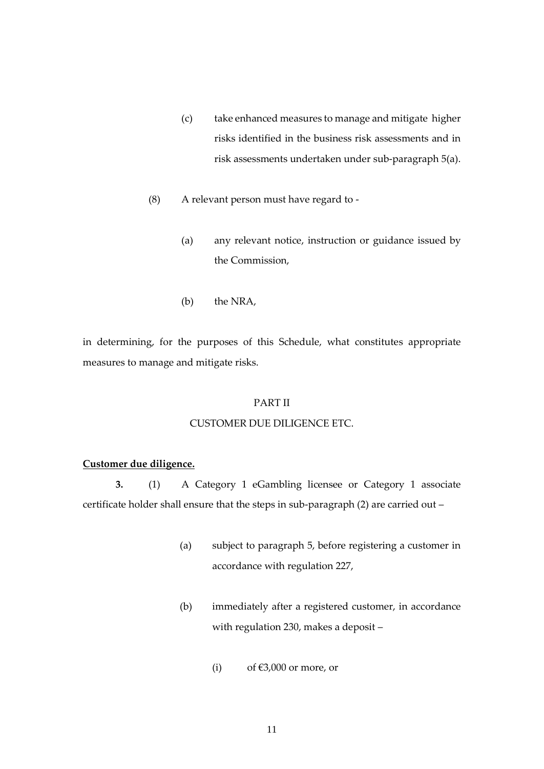- (c) take enhanced measures to manage and mitigate higher risks identified in the business risk assessments and in risk assessments undertaken under sub-paragraph 5(a).
- (8) A relevant person must have regard to
	- (a) any relevant notice, instruction or guidance issued by the Commission,
	- (b) the NRA,

in determining, for the purposes of this Schedule, what constitutes appropriate measures to manage and mitigate risks.

## PART II

#### CUSTOMER DUE DILIGENCE ETC.

#### **Customer due diligence.**

**3.** (1) A Category 1 eGambling licensee or Category 1 associate certificate holder shall ensure that the steps in sub-paragraph (2) are carried out –

- (a) subject to paragraph 5, before registering a customer in accordance with regulation 227,
- (b) immediately after a registered customer, in accordance with regulation 230, makes a deposit –
	- (i) of  $\epsilon$ 3,000 or more, or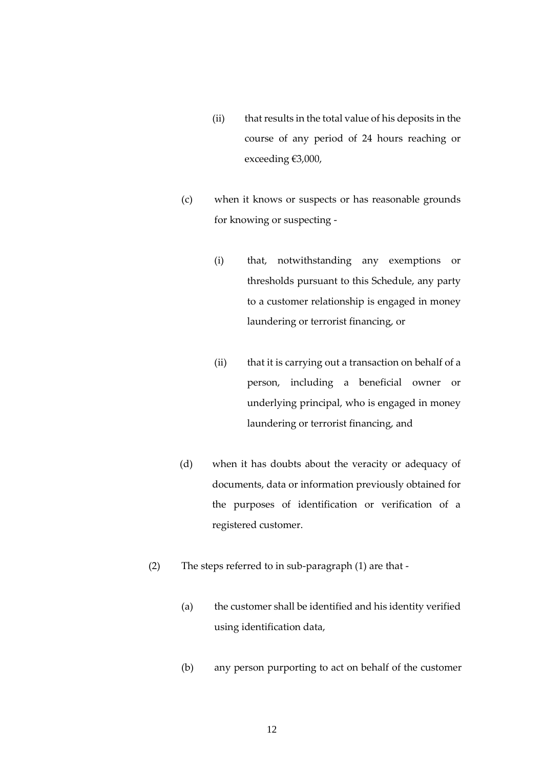- (ii) that results in the total value of his deposits in the course of any period of 24 hours reaching or exceeding €3,000,
- (c) when it knows or suspects or has reasonable grounds for knowing or suspecting -
	- (i) that, notwithstanding any exemptions or thresholds pursuant to this Schedule, any party to a customer relationship is engaged in money laundering or terrorist financing, or
	- (ii) that it is carrying out a transaction on behalf of a person, including a beneficial owner or underlying principal, who is engaged in money laundering or terrorist financing, and
- (d) when it has doubts about the veracity or adequacy of documents, data or information previously obtained for the purposes of identification or verification of a registered customer.
- (2) The steps referred to in sub-paragraph (1) are that
	- (a) the customer shall be identified and his identity verified using identification data,
	- (b) any person purporting to act on behalf of the customer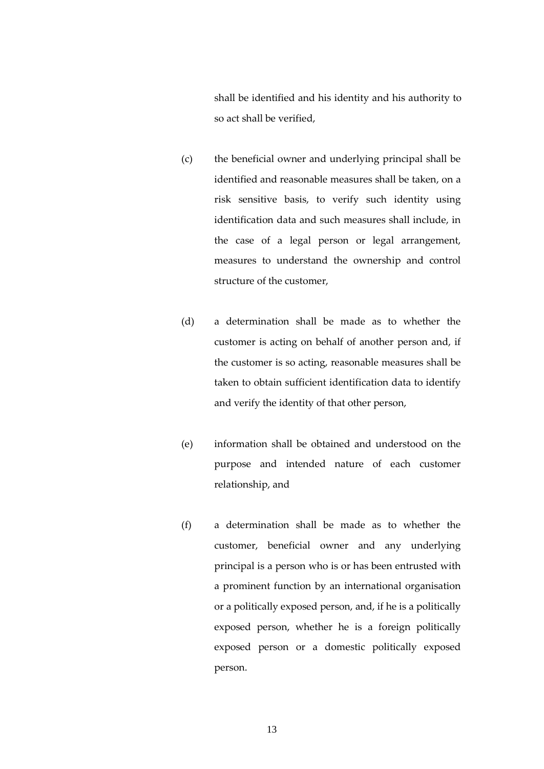shall be identified and his identity and his authority to so act shall be verified,

- (c) the beneficial owner and underlying principal shall be identified and reasonable measures shall be taken, on a risk sensitive basis, to verify such identity using identification data and such measures shall include, in the case of a legal person or legal arrangement, measures to understand the ownership and control structure of the customer,
- (d) a determination shall be made as to whether the customer is acting on behalf of another person and, if the customer is so acting, reasonable measures shall be taken to obtain sufficient identification data to identify and verify the identity of that other person,
- (e) information shall be obtained and understood on the purpose and intended nature of each customer relationship, and
- (f) a determination shall be made as to whether the customer, beneficial owner and any underlying principal is a person who is or has been entrusted with a prominent function by an international organisation or a politically exposed person, and, if he is a politically exposed person, whether he is a foreign politically exposed person or a domestic politically exposed person.

13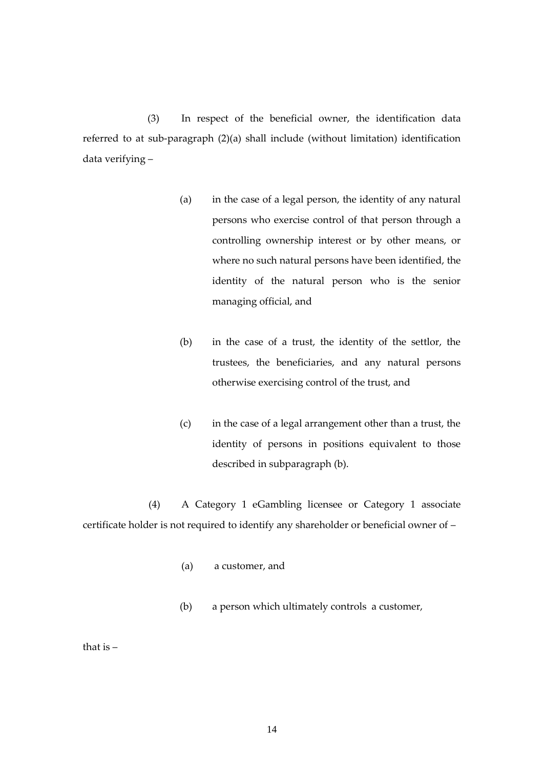(3) In respect of the beneficial owner, the identification data referred to at sub-paragraph (2)(a) shall include (without limitation) identification data verifying –

- (a) in the case of a legal person, the identity of any natural persons who exercise control of that person through a controlling ownership interest or by other means, or where no such natural persons have been identified, the identity of the natural person who is the senior managing official, and
- (b) in the case of a trust, the identity of the settlor, the trustees, the beneficiaries, and any natural persons otherwise exercising control of the trust, and
- (c) in the case of a legal arrangement other than a trust, the identity of persons in positions equivalent to those described in subparagraph (b).

(4) A Category 1 eGambling licensee or Category 1 associate certificate holder is not required to identify any shareholder or beneficial owner of –

- (a) a customer, and
- (b) a person which ultimately controls a customer,

that is –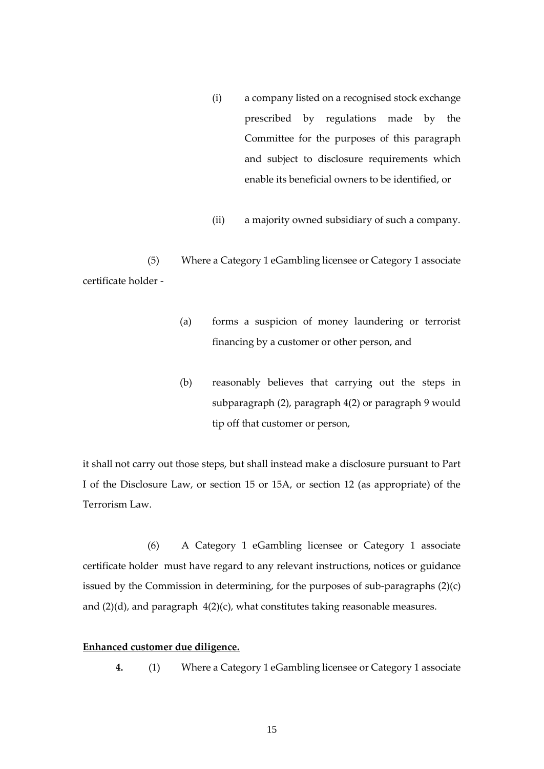- (i) a company listed on a recognised stock exchange prescribed by regulations made by the Committee for the purposes of this paragraph and subject to disclosure requirements which enable its beneficial owners to be identified, or
- (ii) a majority owned subsidiary of such a company.

(5) Where a Category 1 eGambling licensee or Category 1 associate certificate holder -

- (a) forms a suspicion of money laundering or terrorist financing by a customer or other person, and
- (b) reasonably believes that carrying out the steps in subparagraph (2), paragraph 4(2) or paragraph 9 would tip off that customer or person,

it shall not carry out those steps, but shall instead make a disclosure pursuant to Part I of the Disclosure Law, or section 15 or 15A, or section 12 (as appropriate) of the Terrorism Law.

(6) A Category 1 eGambling licensee or Category 1 associate certificate holder must have regard to any relevant instructions, notices or guidance issued by the Commission in determining, for the purposes of sub-paragraphs (2)(c) and (2)(d), and paragraph 4(2)(c), what constitutes taking reasonable measures.

## **Enhanced customer due diligence.**

**4.** (1) Where a Category 1 eGambling licensee or Category 1 associate

15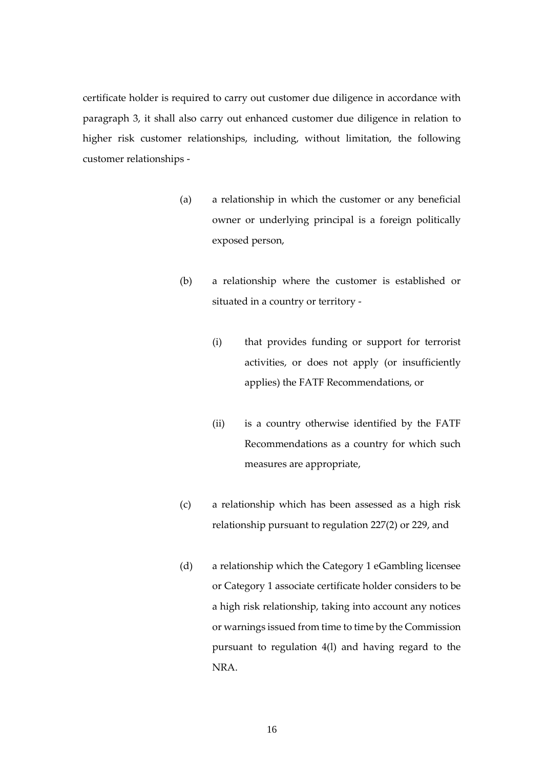certificate holder is required to carry out customer due diligence in accordance with paragraph 3, it shall also carry out enhanced customer due diligence in relation to higher risk customer relationships, including, without limitation, the following customer relationships -

- (a) a relationship in which the customer or any beneficial owner or underlying principal is a foreign politically exposed person,
- (b) a relationship where the customer is established or situated in a country or territory -
	- (i) that provides funding or support for terrorist activities, or does not apply (or insufficiently applies) the FATF Recommendations, or
	- (ii) is a country otherwise identified by the FATF Recommendations as a country for which such measures are appropriate,
- (c) a relationship which has been assessed as a high risk relationship pursuant to regulation 227(2) or 229, and
- (d) a relationship which the Category 1 eGambling licensee or Category 1 associate certificate holder considers to be a high risk relationship, taking into account any notices or warnings issued from time to time by the Commission pursuant to regulation 4(l) and having regard to the NRA.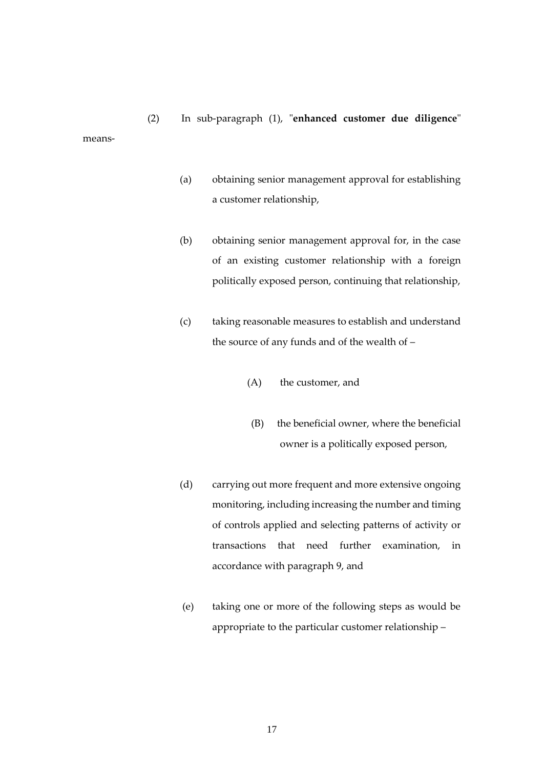(2) In sub-paragraph (1), "**enhanced customer due diligence**" means-

- (a) obtaining senior management approval for establishing a customer relationship,
- (b) obtaining senior management approval for, in the case of an existing customer relationship with a foreign politically exposed person, continuing that relationship,
- (c) taking reasonable measures to establish and understand the source of any funds and of the wealth of –
	- (A) the customer, and
	- (B) the beneficial owner, where the beneficial owner is a politically exposed person,
- (d) carrying out more frequent and more extensive ongoing monitoring, including increasing the number and timing of controls applied and selecting patterns of activity or transactions that need further examination, in accordance with paragraph 9, and
- (e) taking one or more of the following steps as would be appropriate to the particular customer relationship –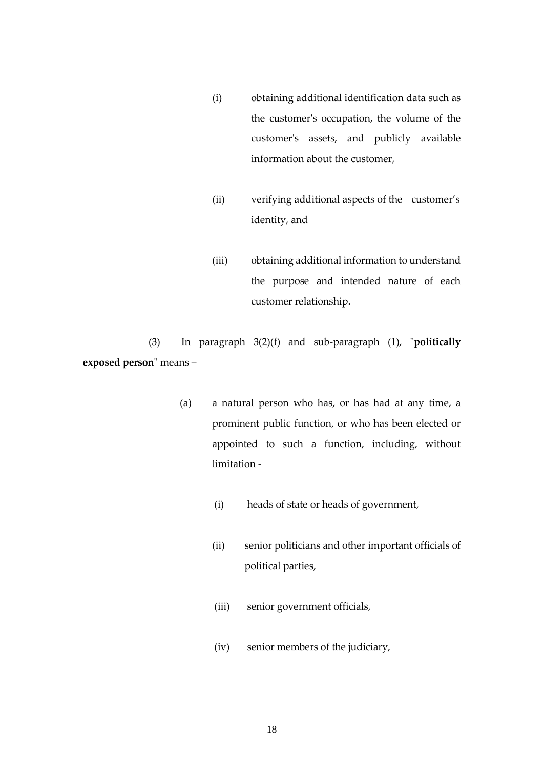- (i) obtaining additional identification data such as the customer's occupation, the volume of the customer's assets, and publicly available information about the customer,
- (ii) verifying additional aspects of the customer's identity, and
- (iii) obtaining additional information to understand the purpose and intended nature of each customer relationship.

(3) In paragraph 3(2)(f) and sub-paragraph (1), "**politically exposed person**" means –

- (a) a natural person who has, or has had at any time, a prominent public function, or who has been elected or appointed to such a function, including, without limitation -
	- (i) heads of state or heads of government,
	- (ii) senior politicians and other important officials of political parties,
	- (iii) senior government officials,
	- (iv) senior members of the judiciary,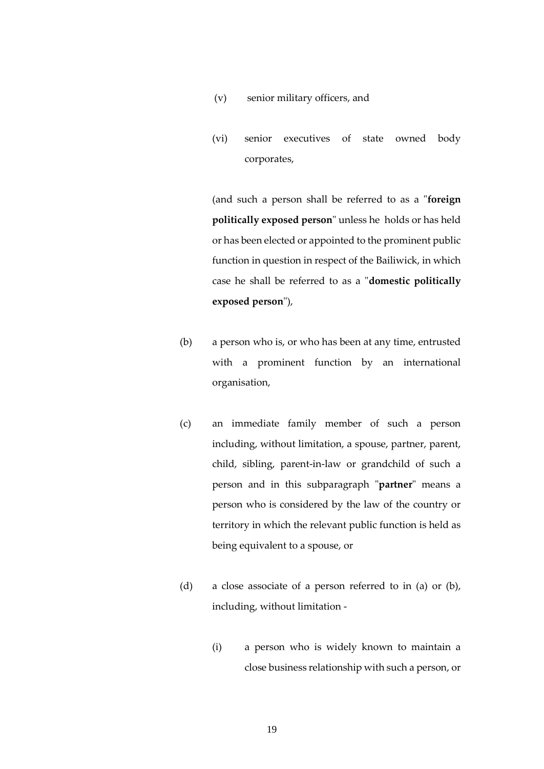- (v) senior military officers, and
- (vi) senior executives of state owned body corporates,

(and such a person shall be referred to as a "**foreign politically exposed person**" unless he holds or has held or has been elected or appointed to the prominent public function in question in respect of the Bailiwick, in which case he shall be referred to as a "**domestic politically exposed person**"),

- (b) a person who is, or who has been at any time, entrusted with a prominent function by an international organisation,
- (c) an immediate family member of such a person including, without limitation, a spouse, partner, parent, child, sibling, parent-in-law or grandchild of such a person and in this subparagraph "**partner**" means a person who is considered by the law of the country or territory in which the relevant public function is held as being equivalent to a spouse, or
- (d) a close associate of a person referred to in (a) or (b), including, without limitation -
	- (i) a person who is widely known to maintain a close business relationship with such a person, or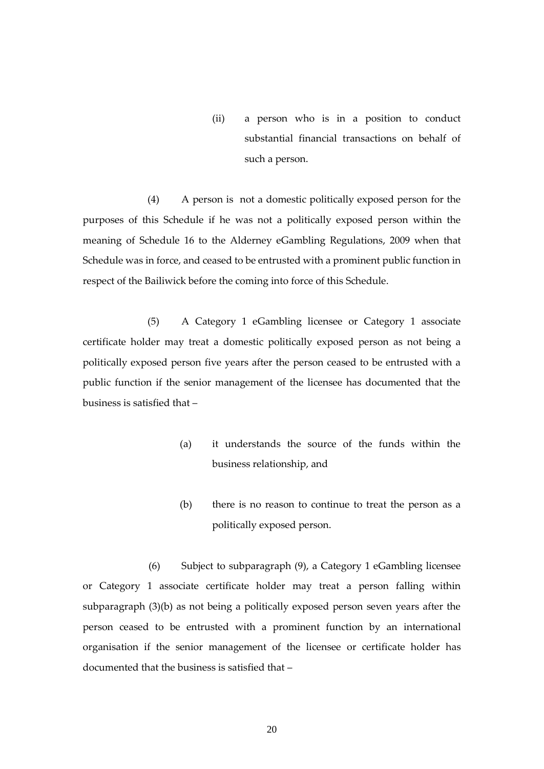(ii) a person who is in a position to conduct substantial financial transactions on behalf of such a person.

(4) A person is not a domestic politically exposed person for the purposes of this Schedule if he was not a politically exposed person within the meaning of Schedule 16 to the Alderney eGambling Regulations, 2009 when that Schedule was in force, and ceased to be entrusted with a prominent public function in respect of the Bailiwick before the coming into force of this Schedule.

(5) A Category 1 eGambling licensee or Category 1 associate certificate holder may treat a domestic politically exposed person as not being a politically exposed person five years after the person ceased to be entrusted with a public function if the senior management of the licensee has documented that the business is satisfied that –

- (a) it understands the source of the funds within the business relationship, and
- (b) there is no reason to continue to treat the person as a politically exposed person.

(6) Subject to subparagraph (9), a Category 1 eGambling licensee or Category 1 associate certificate holder may treat a person falling within subparagraph (3)(b) as not being a politically exposed person seven years after the person ceased to be entrusted with a prominent function by an international organisation if the senior management of the licensee or certificate holder has documented that the business is satisfied that –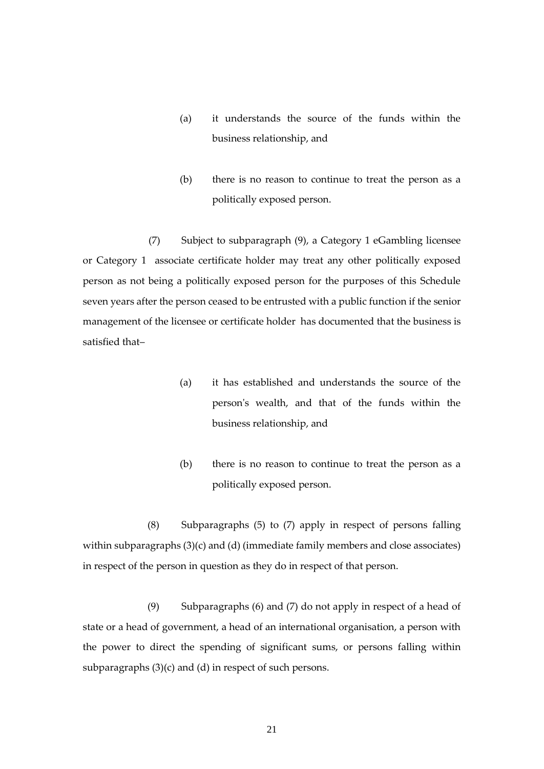- (a) it understands the source of the funds within the business relationship, and
- (b) there is no reason to continue to treat the person as a politically exposed person.

(7) Subject to subparagraph (9), a Category 1 eGambling licensee or Category 1 associate certificate holder may treat any other politically exposed person as not being a politically exposed person for the purposes of this Schedule seven years after the person ceased to be entrusted with a public function if the senior management of the licensee or certificate holder has documented that the business is satisfied that–

- (a) it has established and understands the source of the person's wealth, and that of the funds within the business relationship, and
- (b) there is no reason to continue to treat the person as a politically exposed person.

(8) Subparagraphs (5) to (7) apply in respect of persons falling within subparagraphs (3)(c) and (d) (immediate family members and close associates) in respect of the person in question as they do in respect of that person.

(9) Subparagraphs (6) and (7) do not apply in respect of a head of state or a head of government, a head of an international organisation, a person with the power to direct the spending of significant sums, or persons falling within subparagraphs (3)(c) and (d) in respect of such persons.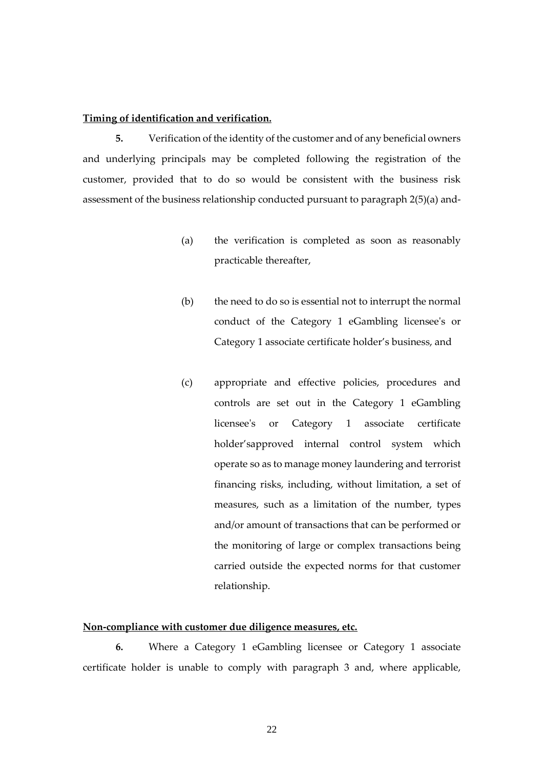#### **Timing of identification and verification.**

**5.** Verification of the identity of the customer and of any beneficial owners and underlying principals may be completed following the registration of the customer, provided that to do so would be consistent with the business risk assessment of the business relationship conducted pursuant to paragraph 2(5)(a) and-

- (a) the verification is completed as soon as reasonably practicable thereafter,
- (b) the need to do so is essential not to interrupt the normal conduct of the Category 1 eGambling licensee's or Category 1 associate certificate holder's business, and
- (c) appropriate and effective policies, procedures and controls are set out in the Category 1 eGambling licensee's or Category 1 associate certificate holder'sapproved internal control system which operate so as to manage money laundering and terrorist financing risks, including, without limitation, a set of measures, such as a limitation of the number, types and/or amount of transactions that can be performed or the monitoring of large or complex transactions being carried outside the expected norms for that customer relationship.

#### **Non-compliance with customer due diligence measures, etc.**

**6.** Where a Category 1 eGambling licensee or Category 1 associate certificate holder is unable to comply with paragraph 3 and, where applicable,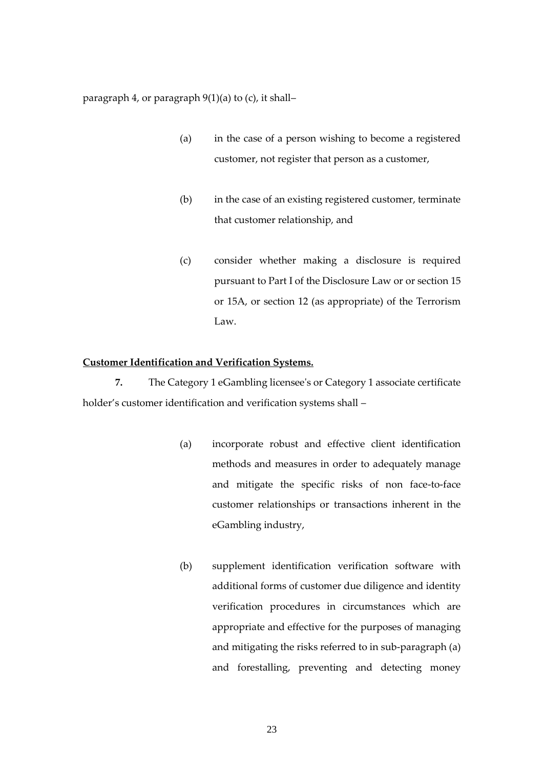paragraph 4, or paragraph 9(1)(a) to (c), it shall–

- (a) in the case of a person wishing to become a registered customer, not register that person as a customer,
- (b) in the case of an existing registered customer, terminate that customer relationship, and
- (c) consider whether making a disclosure is required pursuant to Part I of the Disclosure Law or or section 15 or 15A, or section 12 (as appropriate) of the Terrorism Law.

#### **Customer Identification and Verification Systems.**

**7.** The Category 1 eGambling licensee's or Category 1 associate certificate holder's customer identification and verification systems shall –

- (a) incorporate robust and effective client identification methods and measures in order to adequately manage and mitigate the specific risks of non face-to-face customer relationships or transactions inherent in the eGambling industry,
- (b) supplement identification verification software with additional forms of customer due diligence and identity verification procedures in circumstances which are appropriate and effective for the purposes of managing and mitigating the risks referred to in sub-paragraph (a) and forestalling, preventing and detecting money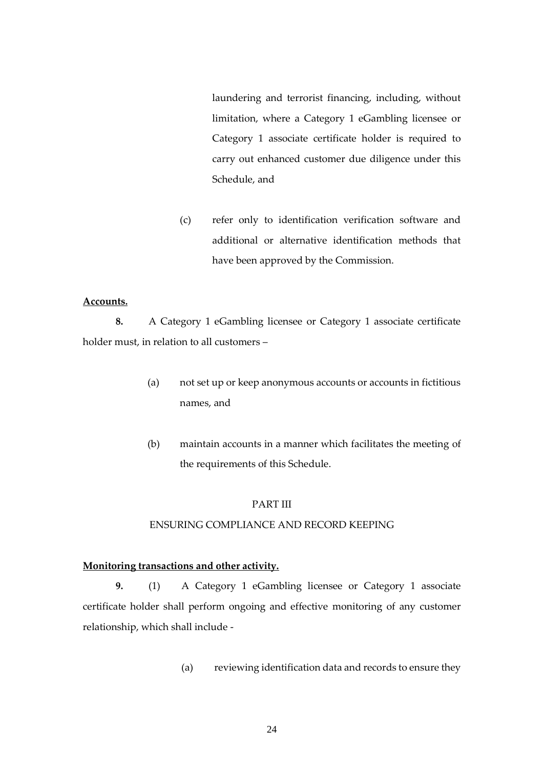laundering and terrorist financing, including, without limitation, where a Category 1 eGambling licensee or Category 1 associate certificate holder is required to carry out enhanced customer due diligence under this Schedule, and

(c) refer only to identification verification software and additional or alternative identification methods that have been approved by the Commission.

#### **Accounts.**

**8.** A Category 1 eGambling licensee or Category 1 associate certificate holder must, in relation to all customers –

- (a) not set up or keep anonymous accounts or accounts in fictitious names, and
- (b) maintain accounts in a manner which facilitates the meeting of the requirements of this Schedule.

#### PART III

# ENSURING COMPLIANCE AND RECORD KEEPING

## **Monitoring transactions and other activity.**

**9.** (1) A Category 1 eGambling licensee or Category 1 associate certificate holder shall perform ongoing and effective monitoring of any customer relationship, which shall include -

(a) reviewing identification data and records to ensure they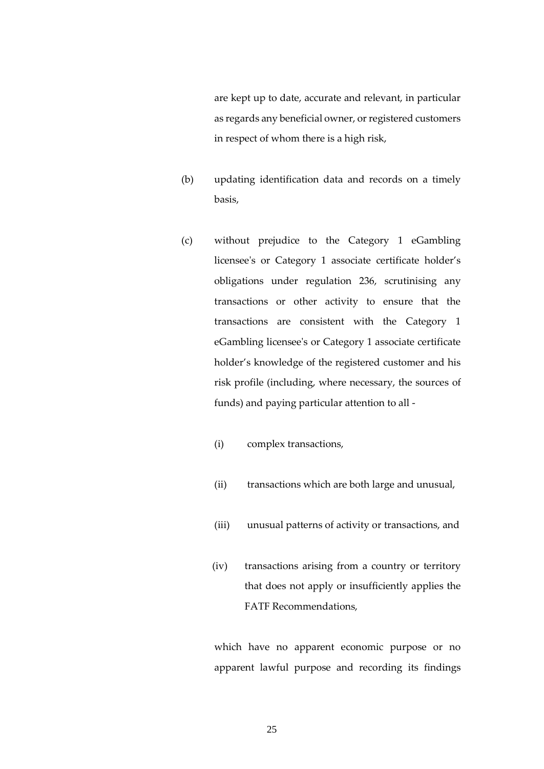are kept up to date, accurate and relevant, in particular as regards any beneficial owner, or registered customers in respect of whom there is a high risk,

- (b) updating identification data and records on a timely basis,
- (c) without prejudice to the Category 1 eGambling licensee's or Category 1 associate certificate holder's obligations under regulation 236, scrutinising any transactions or other activity to ensure that the transactions are consistent with the Category 1 eGambling licensee's or Category 1 associate certificate holder's knowledge of the registered customer and his risk profile (including, where necessary, the sources of funds) and paying particular attention to all -
	- (i) complex transactions,
	- (ii) transactions which are both large and unusual,
	- (iii) unusual patterns of activity or transactions, and
	- (iv) transactions arising from a country or territory that does not apply or insufficiently applies the FATF Recommendations,

which have no apparent economic purpose or no apparent lawful purpose and recording its findings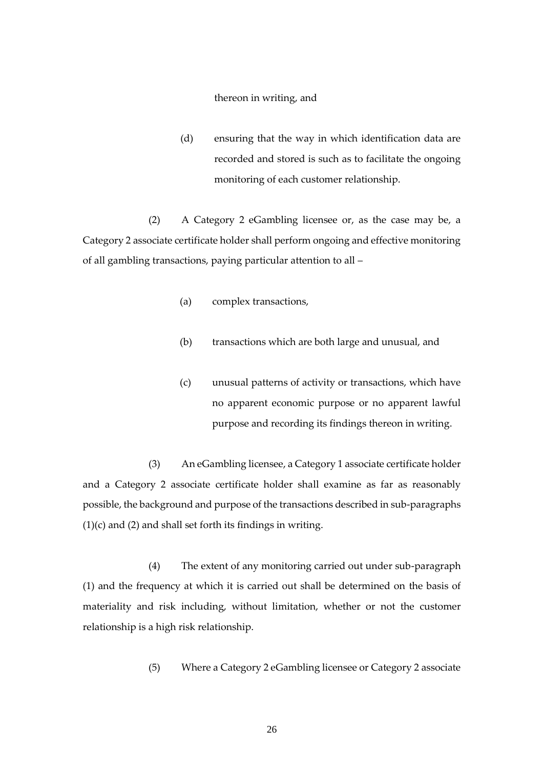#### thereon in writing, and

(d) ensuring that the way in which identification data are recorded and stored is such as to facilitate the ongoing monitoring of each customer relationship.

(2) A Category 2 eGambling licensee or, as the case may be, a Category 2 associate certificate holder shall perform ongoing and effective monitoring of all gambling transactions, paying particular attention to all –

- (a) complex transactions,
- (b) transactions which are both large and unusual, and
- (c) unusual patterns of activity or transactions, which have no apparent economic purpose or no apparent lawful purpose and recording its findings thereon in writing.

 (3) An eGambling licensee, a Category 1 associate certificate holder and a Category 2 associate certificate holder shall examine as far as reasonably possible, the background and purpose of the transactions described in sub-paragraphs  $(1)(c)$  and  $(2)$  and shall set forth its findings in writing.

(4) The extent of any monitoring carried out under sub-paragraph (1) and the frequency at which it is carried out shall be determined on the basis of materiality and risk including, without limitation, whether or not the customer relationship is a high risk relationship.

(5) Where a Category 2 eGambling licensee or Category 2 associate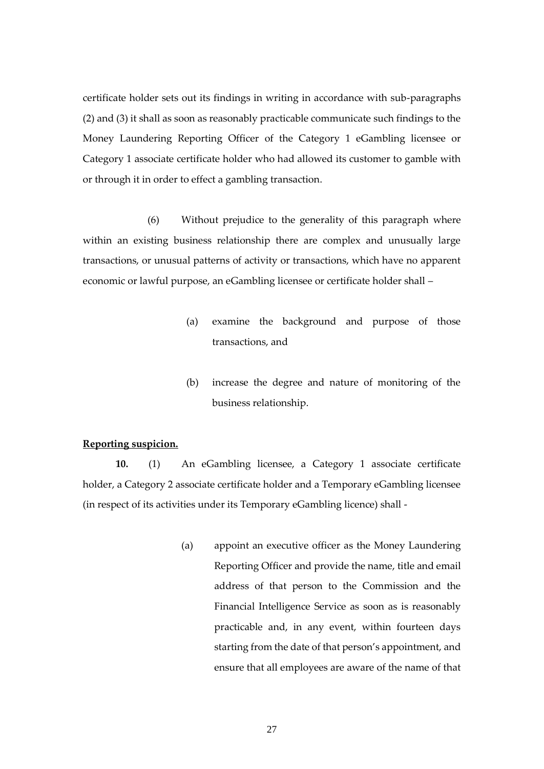certificate holder sets out its findings in writing in accordance with sub-paragraphs (2) and (3) it shall as soon as reasonably practicable communicate such findings to the Money Laundering Reporting Officer of the Category 1 eGambling licensee or Category 1 associate certificate holder who had allowed its customer to gamble with or through it in order to effect a gambling transaction.

(6) Without prejudice to the generality of this paragraph where within an existing business relationship there are complex and unusually large transactions, or unusual patterns of activity or transactions, which have no apparent economic or lawful purpose, an eGambling licensee or certificate holder shall –

- (a) examine the background and purpose of those transactions, and
- (b) increase the degree and nature of monitoring of the business relationship.

# **Reporting suspicion.**

**10.** (1) An eGambling licensee, a Category 1 associate certificate holder, a Category 2 associate certificate holder and a Temporary eGambling licensee (in respect of its activities under its Temporary eGambling licence) shall -

> (a) appoint an executive officer as the Money Laundering Reporting Officer and provide the name, title and email address of that person to the Commission and the Financial Intelligence Service as soon as is reasonably practicable and, in any event, within fourteen days starting from the date of that person's appointment, and ensure that all employees are aware of the name of that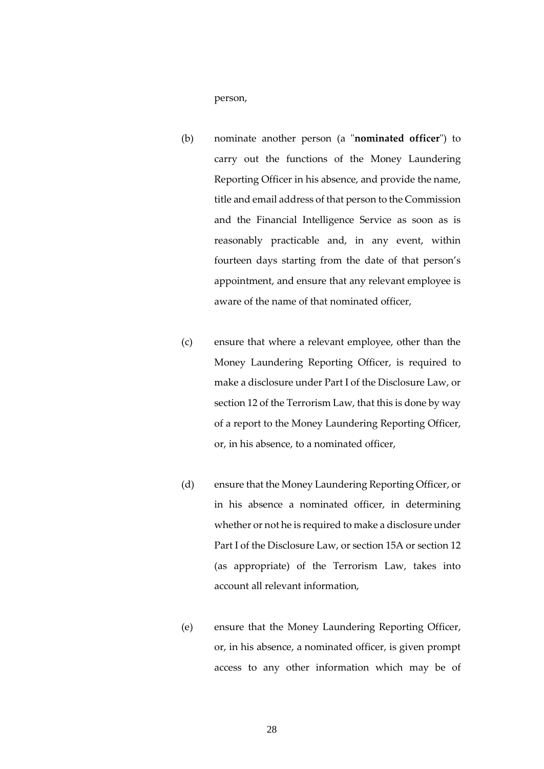person,

- (b) nominate another person (a "**nominated officer**") to carry out the functions of the Money Laundering Reporting Officer in his absence, and provide the name, title and email address of that person to the Commission and the Financial Intelligence Service as soon as is reasonably practicable and, in any event, within fourteen days starting from the date of that person's appointment, and ensure that any relevant employee is aware of the name of that nominated officer,
- (c) ensure that where a relevant employee, other than the Money Laundering Reporting Officer, is required to make a disclosure under Part I of the Disclosure Law, or section 12 of the Terrorism Law, that this is done by way of a report to the Money Laundering Reporting Officer, or, in his absence, to a nominated officer,
- (d) ensure that the Money Laundering Reporting Officer, or in his absence a nominated officer, in determining whether or not he is required to make a disclosure under Part I of the Disclosure Law, or section 15A or section 12 (as appropriate) of the Terrorism Law, takes into account all relevant information,
- (e) ensure that the Money Laundering Reporting Officer, or, in his absence, a nominated officer, is given prompt access to any other information which may be of

28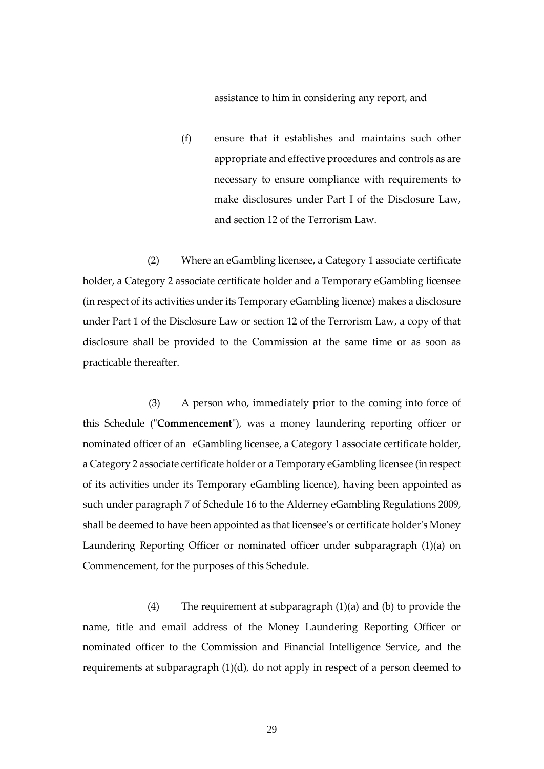assistance to him in considering any report, and

(f) ensure that it establishes and maintains such other appropriate and effective procedures and controls as are necessary to ensure compliance with requirements to make disclosures under Part I of the Disclosure Law, and section 12 of the Terrorism Law.

(2) Where an eGambling licensee, a Category 1 associate certificate holder, a Category 2 associate certificate holder and a Temporary eGambling licensee (in respect of its activities under its Temporary eGambling licence) makes a disclosure under Part 1 of the Disclosure Law or section 12 of the Terrorism Law, a copy of that disclosure shall be provided to the Commission at the same time or as soon as practicable thereafter.

(3) A person who, immediately prior to the coming into force of this Schedule ("**Commencement**"), was a money laundering reporting officer or nominated officer of an eGambling licensee, a Category 1 associate certificate holder, a Category 2 associate certificate holder or a Temporary eGambling licensee (in respect of its activities under its Temporary eGambling licence), having been appointed as such under paragraph 7 of Schedule 16 to the Alderney eGambling Regulations 2009, shall be deemed to have been appointed as that licensee's or certificate holder's Money Laundering Reporting Officer or nominated officer under subparagraph (1)(a) on Commencement, for the purposes of this Schedule.

(4) The requirement at subparagraph (1)(a) and (b) to provide the name, title and email address of the Money Laundering Reporting Officer or nominated officer to the Commission and Financial Intelligence Service, and the requirements at subparagraph (1)(d), do not apply in respect of a person deemed to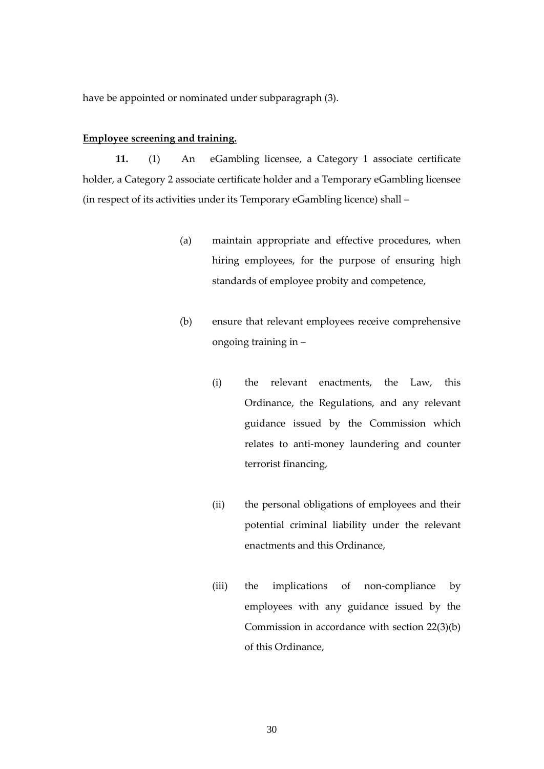have be appointed or nominated under subparagraph (3).

#### **Employee screening and training.**

**11.** (1) An eGambling licensee, a Category 1 associate certificate holder, a Category 2 associate certificate holder and a Temporary eGambling licensee (in respect of its activities under its Temporary eGambling licence) shall –

- (a) maintain appropriate and effective procedures, when hiring employees, for the purpose of ensuring high standards of employee probity and competence,
- (b) ensure that relevant employees receive comprehensive ongoing training in –
	- (i) the relevant enactments, the Law, this Ordinance, the Regulations, and any relevant guidance issued by the Commission which relates to anti-money laundering and counter terrorist financing,
	- (ii) the personal obligations of employees and their potential criminal liability under the relevant enactments and this Ordinance,
	- (iii) the implications of non-compliance by employees with any guidance issued by the Commission in accordance with section 22(3)(b) of this Ordinance,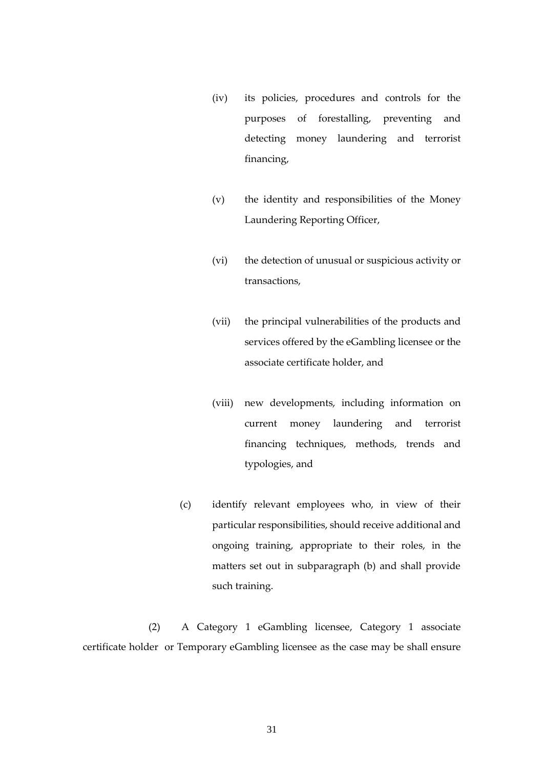- (iv) its policies, procedures and controls for the purposes of forestalling, preventing and detecting money laundering and terrorist financing,
- (v) the identity and responsibilities of the Money Laundering Reporting Officer,
- (vi) the detection of unusual or suspicious activity or transactions,
- (vii) the principal vulnerabilities of the products and services offered by the eGambling licensee or the associate certificate holder, and
- (viii) new developments, including information on current money laundering and terrorist financing techniques, methods, trends and typologies, and
- (c) identify relevant employees who, in view of their particular responsibilities, should receive additional and ongoing training, appropriate to their roles, in the matters set out in subparagraph (b) and shall provide such training.

 (2) A Category 1 eGambling licensee, Category 1 associate certificate holder or Temporary eGambling licensee as the case may be shall ensure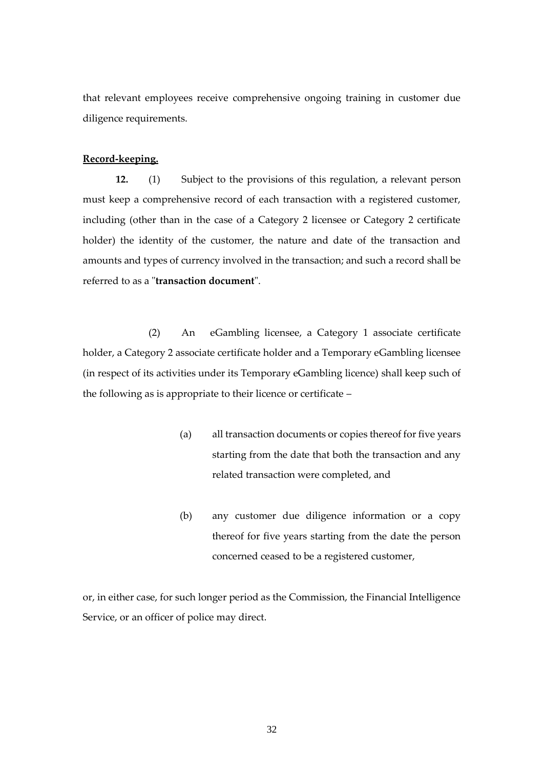that relevant employees receive comprehensive ongoing training in customer due diligence requirements.

#### **Record-keeping.**

**12.** (1) Subject to the provisions of this regulation, a relevant person must keep a comprehensive record of each transaction with a registered customer, including (other than in the case of a Category 2 licensee or Category 2 certificate holder) the identity of the customer, the nature and date of the transaction and amounts and types of currency involved in the transaction; and such a record shall be referred to as a "**transaction document**".

(2) An eGambling licensee, a Category 1 associate certificate holder, a Category 2 associate certificate holder and a Temporary eGambling licensee (in respect of its activities under its Temporary eGambling licence) shall keep such of the following as is appropriate to their licence or certificate –

- (a) all transaction documents or copies thereof for five years starting from the date that both the transaction and any related transaction were completed, and
- (b) any customer due diligence information or a copy thereof for five years starting from the date the person concerned ceased to be a registered customer,

or, in either case, for such longer period as the Commission, the Financial Intelligence Service, or an officer of police may direct.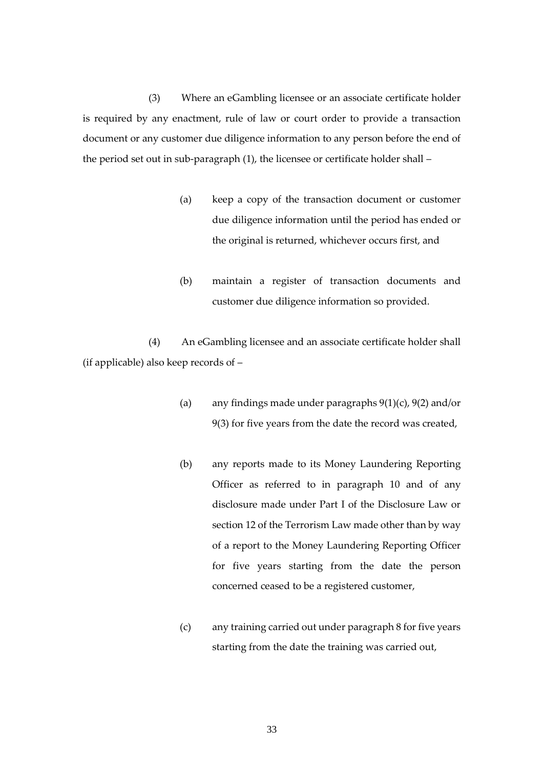(3) Where an eGambling licensee or an associate certificate holder is required by any enactment, rule of law or court order to provide a transaction document or any customer due diligence information to any person before the end of the period set out in sub-paragraph (1), the licensee or certificate holder shall –

- (a) keep a copy of the transaction document or customer due diligence information until the period has ended or the original is returned, whichever occurs first, and
- (b) maintain a register of transaction documents and customer due diligence information so provided.

 (4) An eGambling licensee and an associate certificate holder shall (if applicable) also keep records of –

- (a) any findings made under paragraphs  $9(1)(c)$ ,  $9(2)$  and/or 9(3) for five years from the date the record was created,
- (b) any reports made to its Money Laundering Reporting Officer as referred to in paragraph 10 and of any disclosure made under Part I of the Disclosure Law or section 12 of the Terrorism Law made other than by way of a report to the Money Laundering Reporting Officer for five years starting from the date the person concerned ceased to be a registered customer,
- (c) any training carried out under paragraph 8 for five years starting from the date the training was carried out,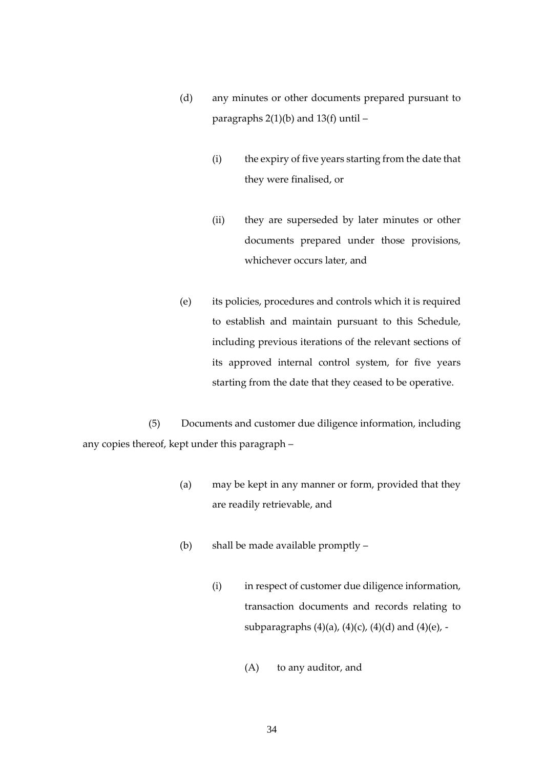- (d) any minutes or other documents prepared pursuant to paragraphs  $2(1)(b)$  and  $13(f)$  until  $-$ 
	- (i) the expiry of five years starting from the date that they were finalised, or
	- (ii) they are superseded by later minutes or other documents prepared under those provisions, whichever occurs later, and
- (e) its policies, procedures and controls which it is required to establish and maintain pursuant to this Schedule, including previous iterations of the relevant sections of its approved internal control system, for five years starting from the date that they ceased to be operative.

(5) Documents and customer due diligence information, including any copies thereof, kept under this paragraph –

- (a) may be kept in any manner or form, provided that they are readily retrievable, and
- (b) shall be made available promptly
	- (i) in respect of customer due diligence information, transaction documents and records relating to subparagraphs (4)(a), (4)(c), (4)(d) and (4)(e), -
		- (A) to any auditor, and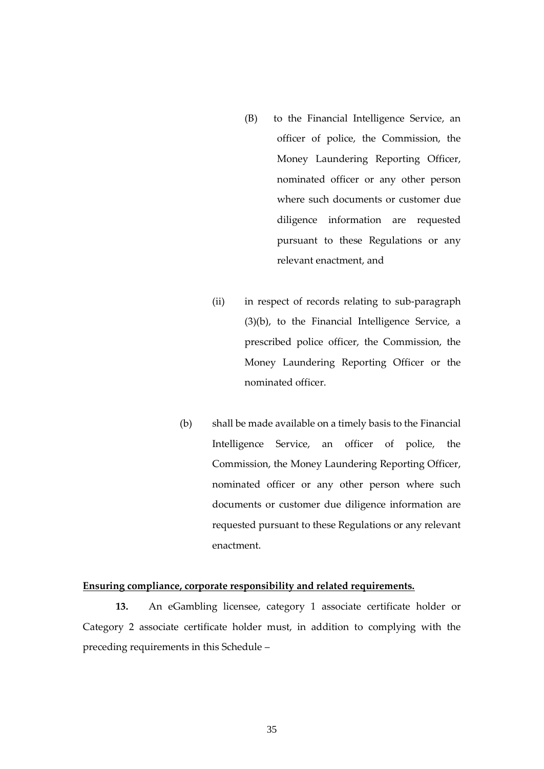- (B) to the Financial Intelligence Service, an officer of police, the Commission, the Money Laundering Reporting Officer, nominated officer or any other person where such documents or customer due diligence information are requested pursuant to these Regulations or any relevant enactment, and
- (ii) in respect of records relating to sub-paragraph (3)(b), to the Financial Intelligence Service, a prescribed police officer, the Commission, the Money Laundering Reporting Officer or the nominated officer.
- (b) shall be made available on a timely basis to the Financial Intelligence Service, an officer of police, the Commission, the Money Laundering Reporting Officer, nominated officer or any other person where such documents or customer due diligence information are requested pursuant to these Regulations or any relevant enactment.

#### **Ensuring compliance, corporate responsibility and related requirements.**

**13.** An eGambling licensee, category 1 associate certificate holder or Category 2 associate certificate holder must, in addition to complying with the preceding requirements in this Schedule –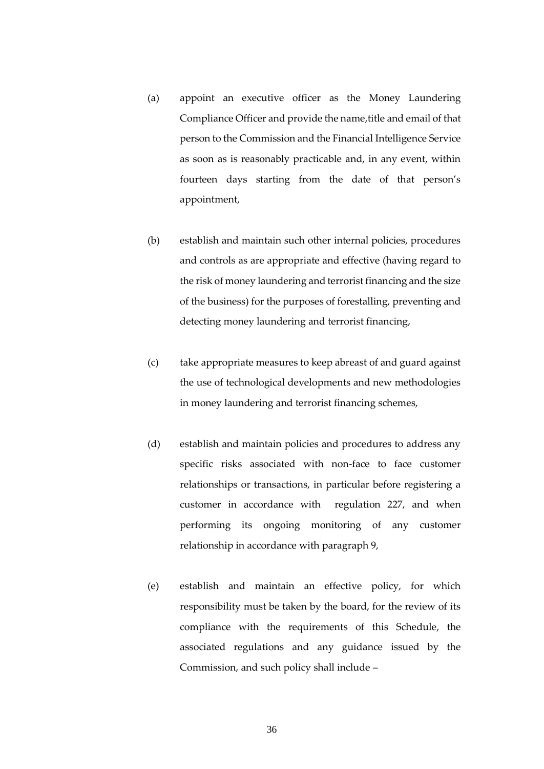- (a) appoint an executive officer as the Money Laundering Compliance Officer and provide the name, title and email of that person to the Commission and the Financial Intelligence Service as soon as is reasonably practicable and, in any event, within fourteen days starting from the date of that person's appointment,
- (b) establish and maintain such other internal policies, procedures and controls as are appropriate and effective (having regard to the risk of money laundering and terrorist financing and the size of the business) for the purposes of forestalling, preventing and detecting money laundering and terrorist financing,
- (c) take appropriate measures to keep abreast of and guard against the use of technological developments and new methodologies in money laundering and terrorist financing schemes,
- (d) establish and maintain policies and procedures to address any specific risks associated with non-face to face customer relationships or transactions, in particular before registering a customer in accordance with regulation 227, and when performing its ongoing monitoring of any customer relationship in accordance with paragraph 9,
- (e) establish and maintain an effective policy, for which responsibility must be taken by the board, for the review of its compliance with the requirements of this Schedule, the associated regulations and any guidance issued by the Commission, and such policy shall include –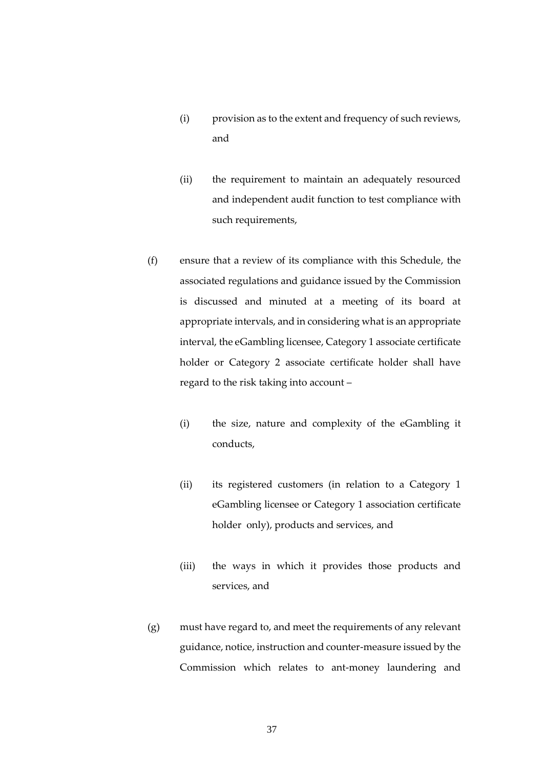- (i) provision as to the extent and frequency of such reviews, and
- (ii) the requirement to maintain an adequately resourced and independent audit function to test compliance with such requirements,
- (f) ensure that a review of its compliance with this Schedule, the associated regulations and guidance issued by the Commission is discussed and minuted at a meeting of its board at appropriate intervals, and in considering what is an appropriate interval, the eGambling licensee, Category 1 associate certificate holder or Category 2 associate certificate holder shall have regard to the risk taking into account –
	- (i) the size, nature and complexity of the eGambling it conducts,
	- (ii) its registered customers (in relation to a Category 1 eGambling licensee or Category 1 association certificate holder only), products and services, and
	- (iii) the ways in which it provides those products and services, and
- (g) must have regard to, and meet the requirements of any relevant guidance, notice, instruction and counter-measure issued by the Commission which relates to ant-money laundering and

37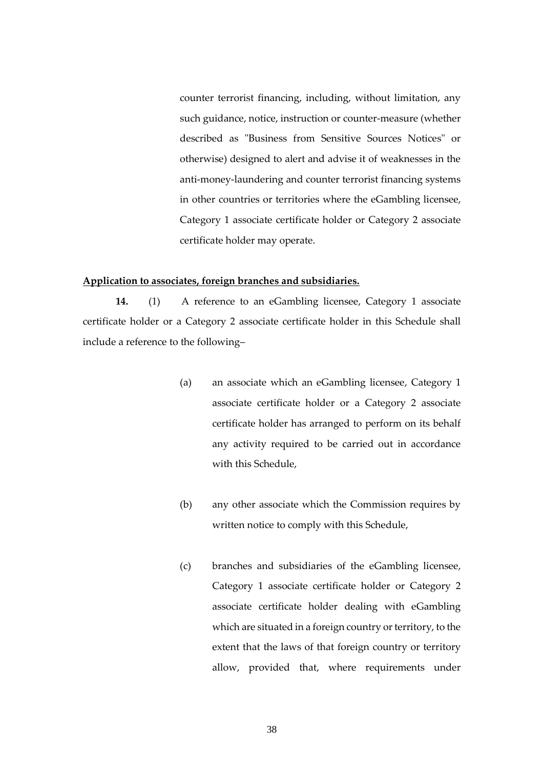counter terrorist financing, including, without limitation, any such guidance, notice, instruction or counter-measure (whether described as "Business from Sensitive Sources Notices" or otherwise) designed to alert and advise it of weaknesses in the anti-money-laundering and counter terrorist financing systems in other countries or territories where the eGambling licensee, Category 1 associate certificate holder or Category 2 associate certificate holder may operate.

# **Application to associates, foreign branches and subsidiaries.**

**14.** (1) A reference to an eGambling licensee, Category 1 associate certificate holder or a Category 2 associate certificate holder in this Schedule shall include a reference to the following–

- (a) an associate which an eGambling licensee, Category 1 associate certificate holder or a Category 2 associate certificate holder has arranged to perform on its behalf any activity required to be carried out in accordance with this Schedule,
- (b) any other associate which the Commission requires by written notice to comply with this Schedule,
- (c) branches and subsidiaries of the eGambling licensee, Category 1 associate certificate holder or Category 2 associate certificate holder dealing with eGambling which are situated in a foreign country or territory, to the extent that the laws of that foreign country or territory allow, provided that, where requirements under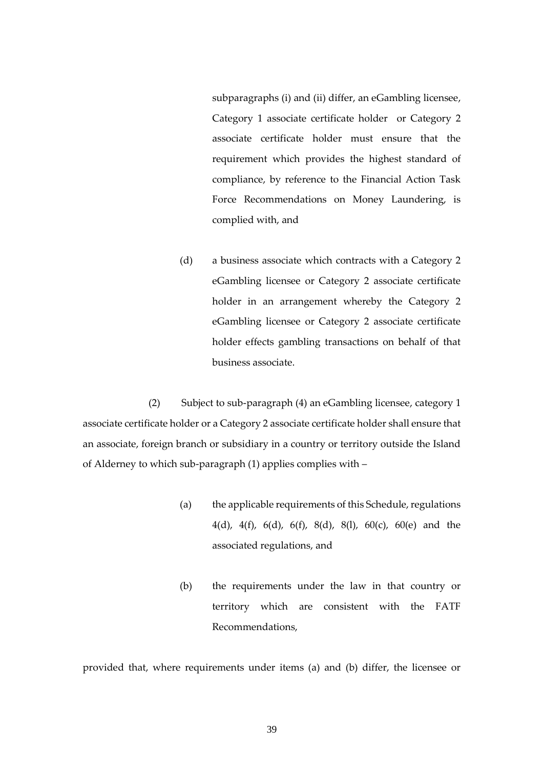subparagraphs (i) and (ii) differ, an eGambling licensee, Category 1 associate certificate holder or Category 2 associate certificate holder must ensure that the requirement which provides the highest standard of compliance, by reference to the Financial Action Task Force Recommendations on Money Laundering, is complied with, and

(d) a business associate which contracts with a Category 2 eGambling licensee or Category 2 associate certificate holder in an arrangement whereby the Category 2 eGambling licensee or Category 2 associate certificate holder effects gambling transactions on behalf of that business associate.

 (2) Subject to sub-paragraph (4) an eGambling licensee, category 1 associate certificate holder or a Category 2 associate certificate holder shall ensure that an associate, foreign branch or subsidiary in a country or territory outside the Island of Alderney to which sub-paragraph (1) applies complies with –

- (a) the applicable requirements of this Schedule, regulations 4(d), 4(f), 6(d), 6(f), 8(d), 8(l), 60(c), 60(e) and the associated regulations, and
- (b) the requirements under the law in that country or territory which are consistent with the FATF Recommendations,

provided that, where requirements under items (a) and (b) differ, the licensee or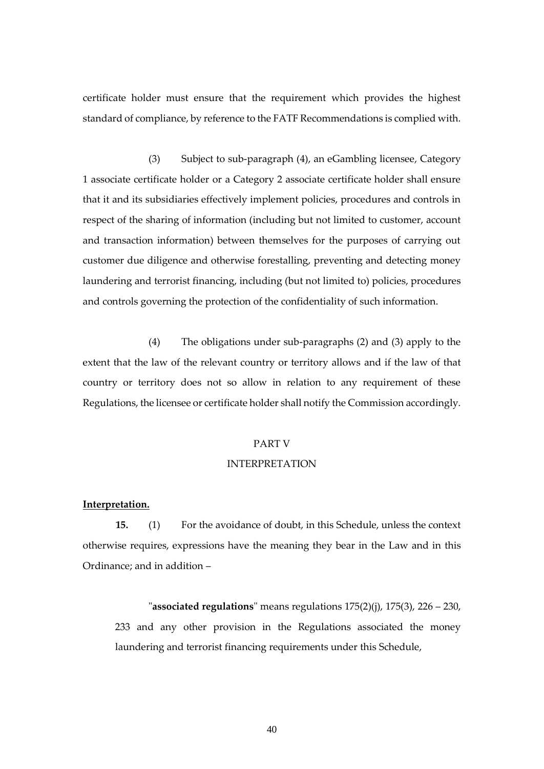certificate holder must ensure that the requirement which provides the highest standard of compliance, by reference to the FATF Recommendations is complied with.

(3) Subject to sub-paragraph (4), an eGambling licensee, Category 1 associate certificate holder or a Category 2 associate certificate holder shall ensure that it and its subsidiaries effectively implement policies, procedures and controls in respect of the sharing of information (including but not limited to customer, account and transaction information) between themselves for the purposes of carrying out customer due diligence and otherwise forestalling, preventing and detecting money laundering and terrorist financing, including (but not limited to) policies, procedures and controls governing the protection of the confidentiality of such information.

(4) The obligations under sub-paragraphs (2) and (3) apply to the extent that the law of the relevant country or territory allows and if the law of that country or territory does not so allow in relation to any requirement of these Regulations, the licensee or certificate holder shall notify the Commission accordingly.

#### PART V

#### INTERPRETATION

#### **Interpretation.**

**15.** (1) For the avoidance of doubt, in this Schedule, unless the context otherwise requires, expressions have the meaning they bear in the Law and in this Ordinance; and in addition –

"**associated regulations**" means regulations 175(2)(j), 175(3), 226 – 230, 233 and any other provision in the Regulations associated the money laundering and terrorist financing requirements under this Schedule,

40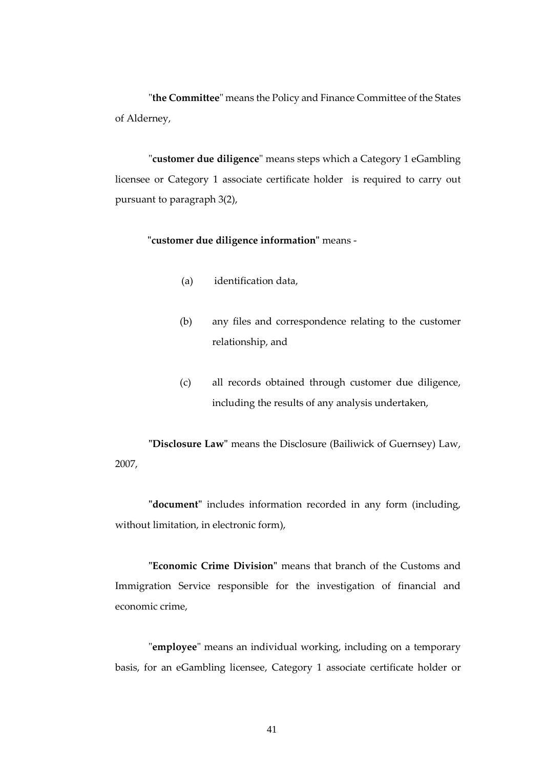"**the Committee**" means the Policy and Finance Committee of the States of Alderney,

"**customer due diligence**" means steps which a Category 1 eGambling licensee or Category 1 associate certificate holder is required to carry out pursuant to paragraph 3(2),

**"customer due diligence information"** means -

- (a) identification data,
- (b) any files and correspondence relating to the customer relationship, and
- (c) all records obtained through customer due diligence, including the results of any analysis undertaken,

**"Disclosure Law"** means the Disclosure (Bailiwick of Guernsey) Law, 2007,

**"document"** includes information recorded in any form (including, without limitation, in electronic form),

**"Economic Crime Division"** means that branch of the Customs and Immigration Service responsible for the investigation of financial and economic crime,

"**employee**" means an individual working, including on a temporary basis, for an eGambling licensee, Category 1 associate certificate holder or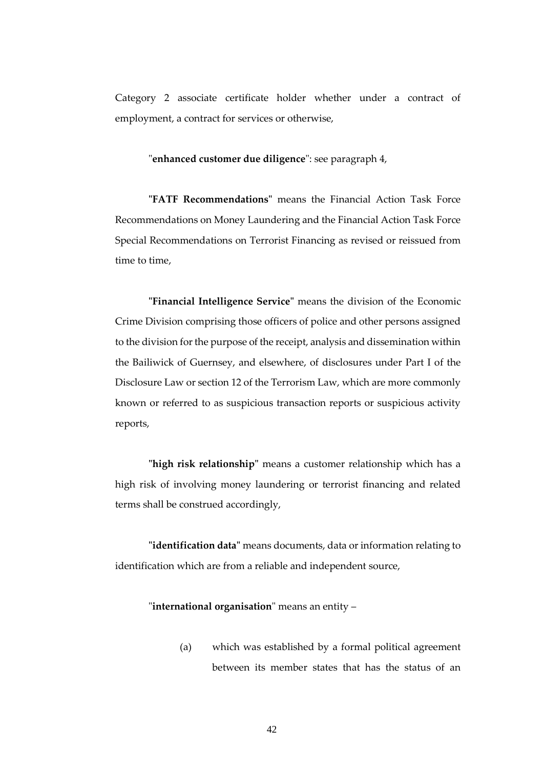Category 2 associate certificate holder whether under a contract of employment, a contract for services or otherwise,

#### "**enhanced customer due diligence**": see paragraph 4,

**"FATF Recommendations"** means the Financial Action Task Force Recommendations on Money Laundering and the Financial Action Task Force Special Recommendations on Terrorist Financing as revised or reissued from time to time,

 **"Financial Intelligence Service"** means the division of the Economic Crime Division comprising those officers of police and other persons assigned to the division for the purpose of the receipt, analysis and dissemination within the Bailiwick of Guernsey, and elsewhere, of disclosures under Part I of the Disclosure Law or section 12 of the Terrorism Law, which are more commonly known or referred to as suspicious transaction reports or suspicious activity reports,

**"high risk relationship"** means a customer relationship which has a high risk of involving money laundering or terrorist financing and related terms shall be construed accordingly,

**"identification data"** means documents, data or information relating to identification which are from a reliable and independent source,

# "**international organisation**" means an entity –

(a) which was established by a formal political agreement between its member states that has the status of an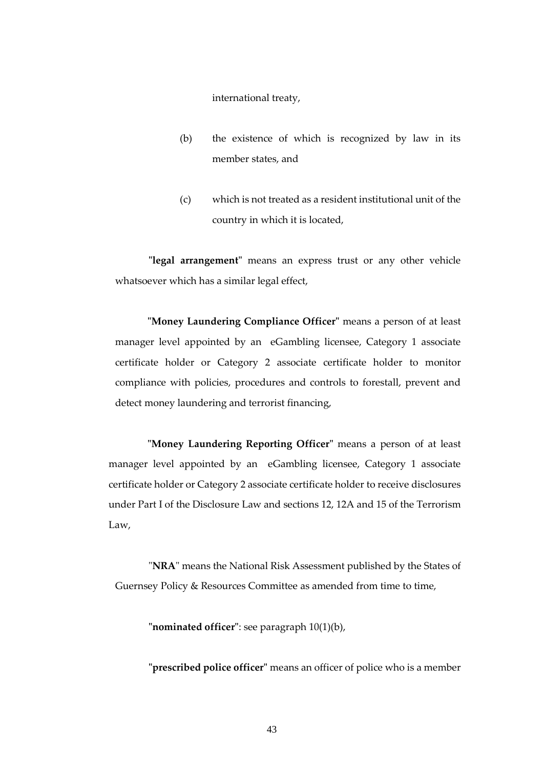international treaty,

- (b) the existence of which is recognized by law in its member states, and
- (c) which is not treated as a resident institutional unit of the country in which it is located,

**"legal arrangement"** means an express trust or any other vehicle whatsoever which has a similar legal effect,

**"Money Laundering Compliance Officer"** means a person of at least manager level appointed by an eGambling licensee, Category 1 associate certificate holder or Category 2 associate certificate holder to monitor compliance with policies, procedures and controls to forestall, prevent and detect money laundering and terrorist financing,

**"Money Laundering Reporting Officer"** means a person of at least manager level appointed by an eGambling licensee, Category 1 associate certificate holder or Category 2 associate certificate holder to receive disclosures under Part I of the Disclosure Law and sections 12, 12A and 15 of the Terrorism Law,

"**NRA**" means the National Risk Assessment published by the States of Guernsey Policy & Resources Committee as amended from time to time,

**"nominated officer"**: see paragraph 10(1)(b),

**"prescribed police officer"** means an officer of police who is a member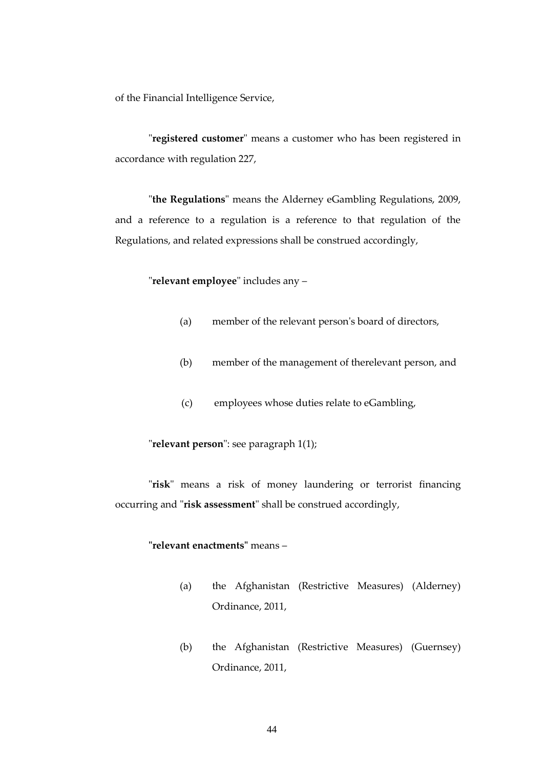of the Financial Intelligence Service,

"**registered customer**" means a customer who has been registered in accordance with regulation 227,

"**the Regulations**" means the Alderney eGambling Regulations, 2009, and a reference to a regulation is a reference to that regulation of the Regulations, and related expressions shall be construed accordingly,

"**relevant employee**" includes any –

- (a) member of the relevant person's board of directors,
- (b) member of the management of therelevant person, and
- (c) employees whose duties relate to eGambling,

"**relevant person**": see paragraph 1(1);

"**risk**" means a risk of money laundering or terrorist financing occurring and "**risk assessment**" shall be construed accordingly,

# **"relevant enactments"** means –

- (a) the Afghanistan (Restrictive Measures) (Alderney) Ordinance, 2011,
- (b) the Afghanistan (Restrictive Measures) (Guernsey) Ordinance, 2011,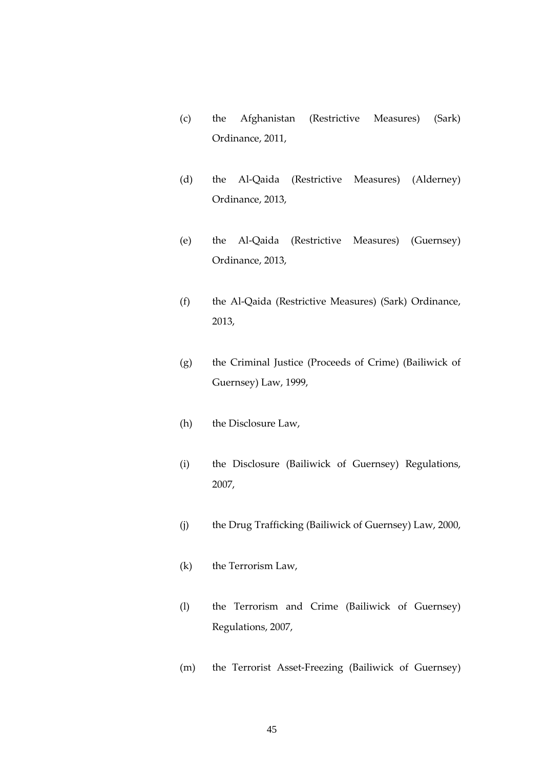- (c) the Afghanistan (Restrictive Measures) (Sark) Ordinance, 2011,
- (d) the Al-Qaida (Restrictive Measures) (Alderney) Ordinance, 2013,
- (e) the Al-Qaida (Restrictive Measures) (Guernsey) Ordinance, 2013,
- (f) the Al-Qaida (Restrictive Measures) (Sark) Ordinance, 2013,
- (g) the Criminal Justice (Proceeds of Crime) (Bailiwick of Guernsey) Law, 1999,
- (h) the Disclosure Law,
- (i) the Disclosure (Bailiwick of Guernsey) Regulations, 2007,
- (j) the Drug Trafficking (Bailiwick of Guernsey) Law, 2000,
- (k) the Terrorism Law,
- (l) the Terrorism and Crime (Bailiwick of Guernsey) Regulations, 2007,
- (m) the Terrorist Asset-Freezing (Bailiwick of Guernsey)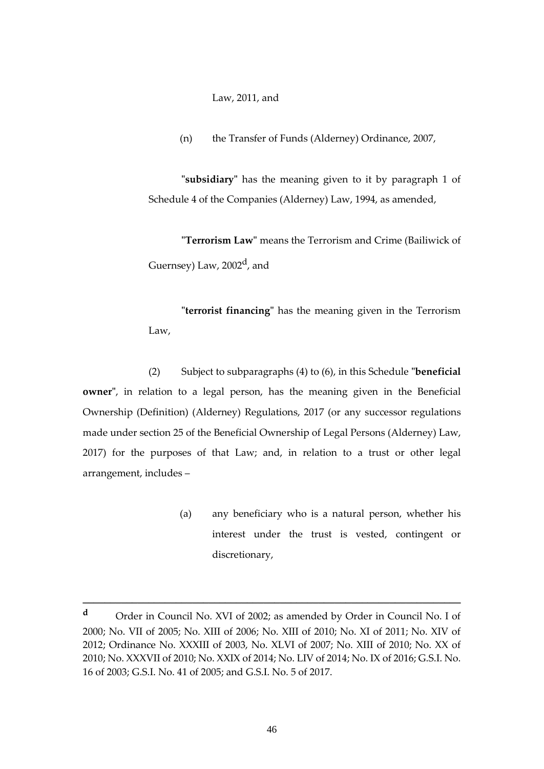Law, 2011, and

(n) the Transfer of Funds (Alderney) Ordinance, 2007,

**"subsidiary"** has the meaning given to it by paragraph 1 of Schedule 4 of the Companies (Alderney) Law, 1994, as amended,

**"Terrorism Law"** means the Terrorism and Crime (Bailiwick of Guernsey) Law, 2002<sup>d</sup>, and

**"terrorist financing"** has the meaning given in the Terrorism Law,

(2) Subject to subparagraphs (4) to (6), in this Schedule **"beneficial owner"**, in relation to a legal person, has the meaning given in the Beneficial Ownership (Definition) (Alderney) Regulations, 2017 (or any successor regulations made under section 25 of the Beneficial Ownership of Legal Persons (Alderney) Law, 2017) for the purposes of that Law; and, in relation to a trust or other legal arrangement, includes –

> (a) any beneficiary who is a natural person, whether his interest under the trust is vested, contingent or discretionary,

**\_\_\_\_\_\_\_\_\_\_\_\_\_\_\_\_\_\_\_\_\_\_\_\_\_\_\_\_\_\_\_\_\_\_\_\_\_\_\_\_\_\_\_\_\_\_\_\_\_\_\_\_\_\_\_\_\_\_\_\_\_\_\_\_\_\_\_\_\_**

**<sup>d</sup>** Order in Council No. XVI of 2002; as amended by Order in Council No. I of 2000; No. VII of 2005; No. XIII of 2006; No. XIII of 2010; No. XI of 2011; No. XIV of 2012; Ordinance No. XXXIII of 2003, No. XLVI of 2007; No. XIII of 2010; No. XX of 2010; No. XXXVII of 2010; No. XXIX of 2014; No. LIV of 2014; No. IX of 2016; G.S.I. No. 16 of 2003; G.S.I. No. 41 of 2005; and G.S.I. No. 5 of 2017.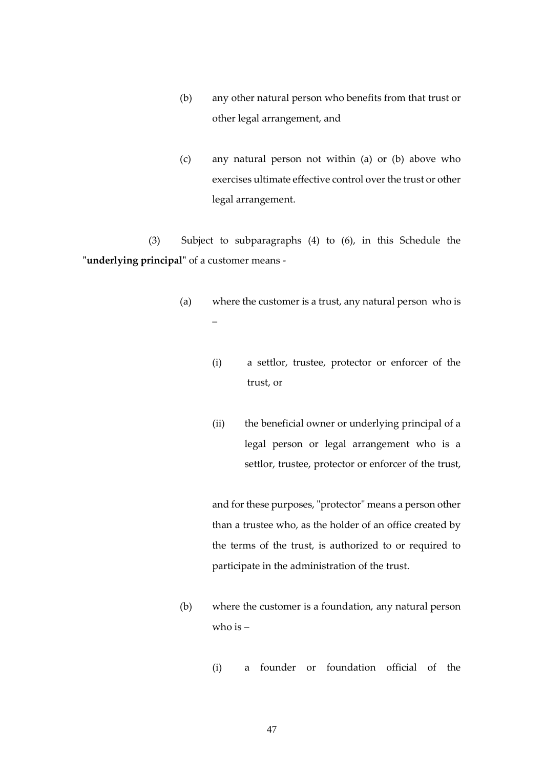- (b) any other natural person who benefits from that trust or other legal arrangement, and
- (c) any natural person not within (a) or (b) above who exercises ultimate effective control over the trust or other legal arrangement.

(3) Subject to subparagraphs (4) to (6), in this Schedule the **"underlying principal"** of a customer means -

- (a) where the customer is a trust, any natural person who is –
	- (i) a settlor, trustee, protector or enforcer of the trust, or
	- (ii) the beneficial owner or underlying principal of a legal person or legal arrangement who is a settlor, trustee, protector or enforcer of the trust,

and for these purposes, "protector" means a person other than a trustee who, as the holder of an office created by the terms of the trust, is authorized to or required to participate in the administration of the trust.

- (b) where the customer is a foundation, any natural person who is –
	- (i) a founder or foundation official of the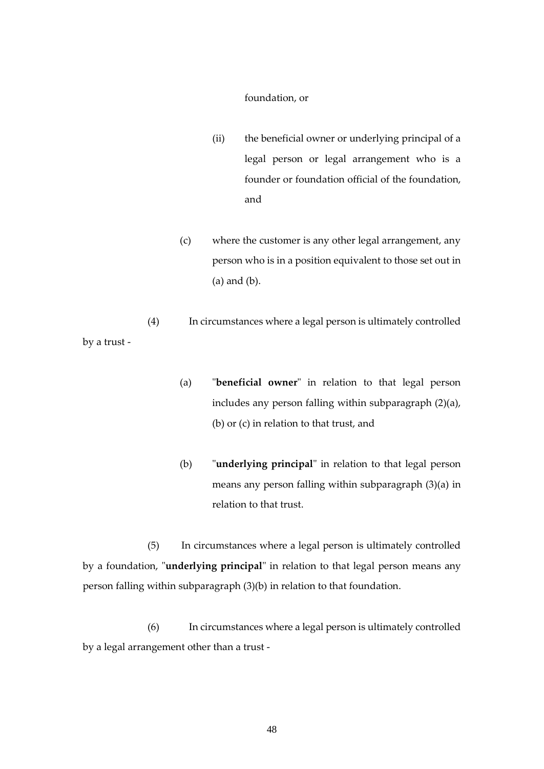#### foundation, or

- (ii) the beneficial owner or underlying principal of a legal person or legal arrangement who is a founder or foundation official of the foundation, and
- (c) where the customer is any other legal arrangement, any person who is in a position equivalent to those set out in (a) and (b).
- (4) In circumstances where a legal person is ultimately controlled by a trust -
	- (a) "**beneficial owner**" in relation to that legal person includes any person falling within subparagraph (2)(a), (b) or (c) in relation to that trust, and
	- (b) "**underlying principal**" in relation to that legal person means any person falling within subparagraph (3)(a) in relation to that trust.

(5) In circumstances where a legal person is ultimately controlled by a foundation, "**underlying principal**" in relation to that legal person means any person falling within subparagraph (3)(b) in relation to that foundation.

(6) In circumstances where a legal person is ultimately controlled by a legal arrangement other than a trust -